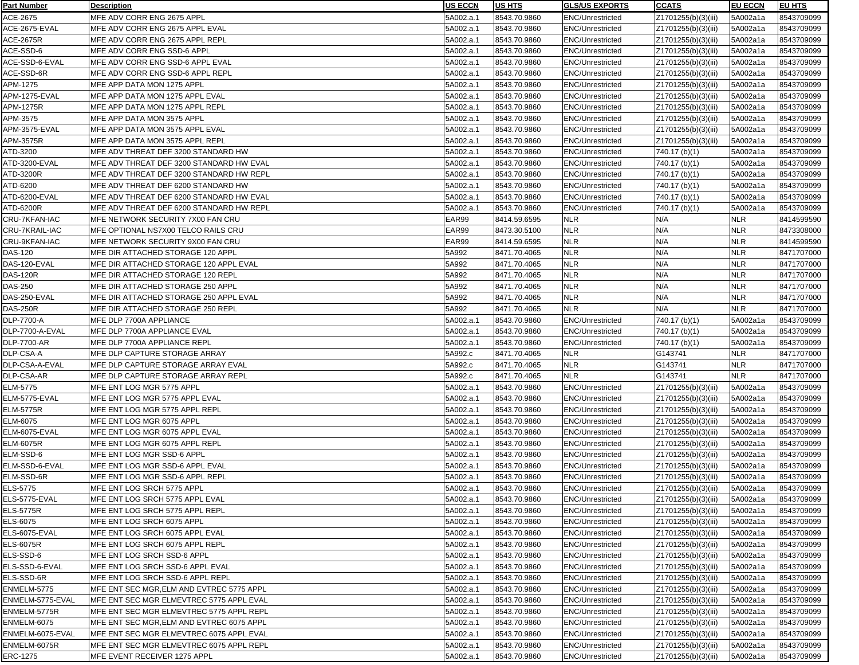| Part Number        | <b>Description</b>                        | <b>IUS ECCN</b> | <b>IUS HTS</b> | <b>GLS/US EXPORTS</b>   | <b>CCATS</b>        | <b>EU ECCN</b> | <b>EU HTS</b> |
|--------------------|-------------------------------------------|-----------------|----------------|-------------------------|---------------------|----------------|---------------|
| ACE-2675           | MFE ADV CORR ENG 2675 APPL                | 5A002.a.1       | 8543.70.9860   | <b>ENC/Unrestricted</b> | Z1701255(b)(3)(iii) | 5A002a1a       | 8543709099    |
| ACE-2675-EVAL      | MFE ADV CORR ENG 2675 APPL EVAL           | 5A002.a.1       | 8543.70.9860   | <b>ENC/Unrestricted</b> | Z1701255(b)(3)(iii) | 5A002a1a       | 8543709099    |
| <b>ACE-2675R</b>   | MFE ADV CORR ENG 2675 APPL REPL           | 5A002.a.1       | 8543.70.9860   | <b>ENC/Unrestricted</b> | Z1701255(b)(3)(iii) | 5A002a1a       | 8543709099    |
| ACE-SSD-6          | MFE ADV CORR ENG SSD-6 APPL               | 5A002.a.1       | 8543.70.9860   | <b>ENC/Unrestricted</b> | Z1701255(b)(3)(iii) | 5A002a1a       | 8543709099    |
| ACE-SSD-6-EVAL     | MFE ADV CORR ENG SSD-6 APPL EVAL          | 5A002.a.1       | 8543.70.9860   | <b>ENC/Unrestricted</b> | Z1701255(b)(3)(iii) | 5A002a1a       | 8543709099    |
| ACE-SSD-6R         | MFE ADV CORR ENG SSD-6 APPL REPL          | 5A002.a.1       | 8543.70.9860   | <b>ENC/Unrestricted</b> | Z1701255(b)(3)(iii) | 5A002a1a       | 8543709099    |
| APM-1275           | MFE APP DATA MON 1275 APPL                | 5A002.a.1       | 8543.70.9860   | <b>ENC/Unrestricted</b> | Z1701255(b)(3)(iii) | 5A002a1a       | 8543709099    |
| APM-1275-EVAL      | MFE APP DATA MON 1275 APPL EVAL           | 5A002.a.1       | 8543.70.9860   | <b>ENC/Unrestricted</b> | Z1701255(b)(3)(iii) | 5A002a1a       | 8543709099    |
| APM-1275R          | MFE APP DATA MON 1275 APPL REPL           | 5A002.a.1       | 8543.70.9860   | <b>ENC/Unrestricted</b> | Z1701255(b)(3)(iii) | 5A002a1a       | 8543709099    |
| APM-3575           | MFE APP DATA MON 3575 APPL                | 5A002.a.1       | 8543.70.9860   | <b>ENC/Unrestricted</b> | Z1701255(b)(3)(iii) | 5A002a1a       | 8543709099    |
| APM-3575-EVAL      | MFE APP DATA MON 3575 APPL EVAL           | 5A002.a.1       | 8543.70.9860   | ENC/Unrestricted        | Z1701255(b)(3)(iii) | 5A002a1a       | 8543709099    |
| APM-3575R          | MFE APP DATA MON 3575 APPL REPL           | 5A002.a.1       | 8543.70.9860   | <b>ENC/Unrestricted</b> | Z1701255(b)(3)(iii) | 5A002a1a       | 8543709099    |
| ATD-3200           | MFE ADV THREAT DEF 3200 STANDARD HW       | 5A002.a.1       | 8543.70.9860   | <b>ENC/Unrestricted</b> | 740.17 (b)(1)       | 5A002a1a       | 8543709099    |
| ATD-3200-EVAL      | MFE ADV THREAT DEF 3200 STANDARD HW EVAL  | 5A002.a.1       | 8543.70.9860   | <b>ENC/Unrestricted</b> | $740.17$ (b)(1)     | 5A002a1a       | 8543709099    |
| ATD-3200R          | MFE ADV THREAT DEF 3200 STANDARD HW REPL  | 5A002.a.1       | 8543.70.9860   | <b>ENC/Unrestricted</b> | 740.17 (b)(1)       | 5A002a1a       | 8543709099    |
| ATD-6200           | MFE ADV THREAT DEF 6200 STANDARD HW       | 5A002.a.1       | 8543.70.9860   | <b>ENC/Unrestricted</b> | 740.17 (b)(1)       | 5A002a1a       | 8543709099    |
| ATD-6200-EVAL      | MFE ADV THREAT DEF 6200 STANDARD HW EVAL  | 5A002.a.1       | 8543.70.9860   | <b>ENC/Unrestricted</b> | 740.17 (b)(1)       | 5A002a1a       | 8543709099    |
| ATD-6200R          | MFE ADV THREAT DEF 6200 STANDARD HW REPL  | 5A002.a.1       | 8543.70.9860   | <b>ENC/Unrestricted</b> |                     | 5A002a1a       |               |
|                    | MFE NETWORK SECURITY 7X00 FAN CRU         |                 |                |                         | 740.17 (b)(1)       |                | 8543709099    |
| CRU-7KFAN-IAC      |                                           | EAR99           | 8414.59.6595   | <b>NLR</b>              | N/A<br>N/A          | <b>NLR</b>     | 8414599590    |
| CRU-7KRAIL-IAC     | MFE OPTIONAL NS7X00 TELCO RAILS CRU       | EAR99           | 8473.30.5100   | <b>NLR</b>              | N/A                 | <b>NLR</b>     | 8473308000    |
| CRU-9KFAN-IAC      | MFE NETWORK SECURITY 9X00 FAN CRU         | EAR99           | 8414.59.6595   | <b>NLR</b>              |                     | <b>NLR</b>     | 8414599590    |
| <b>DAS-120</b>     | MFE DIR ATTACHED STORAGE 120 APPL         | 5A992           | 8471.70.4065   | <b>NLR</b>              | N/A                 | <b>NLR</b>     | 8471707000    |
| DAS-120-EVAL       | MFE DIR ATTACHED STORAGE 120 APPL EVAL    | 5A992           | 8471.70.4065   | <b>NLR</b>              | N/A                 | <b>NLR</b>     | 8471707000    |
| <b>DAS-120R</b>    | MFE DIR ATTACHED STORAGE 120 REPL         | 5A992           | 8471.70.4065   | <b>NLR</b>              | N/A                 | <b>NLR</b>     | 8471707000    |
| <b>DAS-250</b>     | MFE DIR ATTACHED STORAGE 250 APPL         | 5A992           | 8471.70.4065   | <b>NLR</b>              | N/A                 | <b>NLR</b>     | 8471707000    |
| DAS-250-EVAL       | MFE DIR ATTACHED STORAGE 250 APPL EVAL    | 5A992           | 8471.70.4065   | <b>NLR</b>              | N/A                 | <b>NLR</b>     | 8471707000    |
| <b>DAS-250R</b>    | MFE DIR ATTACHED STORAGE 250 REPL         | 5A992           | 8471.70.4065   | <b>NLR</b>              | N/A                 | <b>NLR</b>     | 8471707000    |
| <b>DLP-7700-A</b>  | MFE DLP 7700A APPLIANCE                   | 5A002.a.1       | 8543.70.9860   | <b>ENC/Unrestricted</b> | 740.17 (b)(1)       | 5A002a1a       | 8543709099    |
| DLP-7700-A-EVAL    | MFE DLP 7700A APPLIANCE EVAL              | 5A002.a.1       | 8543.70.9860   | <b>ENC/Unrestricted</b> | $740.17$ (b)(1)     | 5A002a1a       | 8543709099    |
| <b>DLP-7700-AR</b> | MFE DLP 7700A APPLIANCE REPL              | 5A002.a.1       | 8543.70.9860   | <b>ENC/Unrestricted</b> | $740.17$ (b)(1)     | 5A002a1a       | 8543709099    |
| DLP-CSA-A          | MFE DLP CAPTURE STORAGE ARRAY             | 5A992.c         | 8471.70.4065   | <b>NLR</b>              | G143741             | <b>NLR</b>     | 8471707000    |
| DLP-CSA-A-EVAL     | MFE DLP CAPTURE STORAGE ARRAY EVAL        | 5A992.c         | 8471.70.4065   | <b>NLR</b>              | G143741             | <b>NLR</b>     | 8471707000    |
| DLP-CSA-AR         | MFE DLP CAPTURE STORAGE ARRAY REPL        | 5A992.c         | 8471.70.4065   | <b>NLR</b>              | G143741             | <b>NLR</b>     | 8471707000    |
| <b>ELM-5775</b>    | MFE ENT LOG MGR 5775 APPL                 | 5A002.a.1       | 8543.70.9860   | <b>ENC/Unrestricted</b> | Z1701255(b)(3)(iii) | 5A002a1a       | 8543709099    |
| ELM-5775-EVAL      | MFE ENT LOG MGR 5775 APPL EVAL            | 5A002.a.1       | 8543.70.9860   | <b>ENC/Unrestricted</b> | Z1701255(b)(3)(iii) | 5A002a1a       | 8543709099    |
| <b>ELM-5775R</b>   | MFE ENT LOG MGR 5775 APPL REPL            | 5A002.a.1       | 8543.70.9860   | <b>ENC/Unrestricted</b> | Z1701255(b)(3)(iii) | 5A002a1a       | 8543709099    |
| ELM-6075           | MFE ENT LOG MGR 6075 APPL                 | 5A002.a.1       | 8543.70.9860   | <b>ENC/Unrestricted</b> | Z1701255(b)(3)(iii) | 5A002a1a       | 8543709099    |
| ELM-6075-EVAL      | MFE ENT LOG MGR 6075 APPL EVAL            | 5A002.a.1       | 8543.70.9860   | <b>ENC/Unrestricted</b> | Z1701255(b)(3)(iii) | 5A002a1a       | 8543709099    |
| <b>ELM-6075R</b>   | MFE ENT LOG MGR 6075 APPL REPL            | 5A002.a.1       | 8543.70.9860   | <b>ENC/Unrestricted</b> | Z1701255(b)(3)(iii) | 5A002a1a       | 8543709099    |
| ELM-SSD-6          | MFE ENT LOG MGR SSD-6 APPL                | 5A002.a.1       | 8543.70.9860   | <b>ENC/Unrestricted</b> | Z1701255(b)(3)(iii) | 5A002a1a       | 8543709099    |
| ELM-SSD-6-EVAL     | MFE ENT LOG MGR SSD-6 APPL EVAL           | 5A002.a.1       | 8543.70.9860   | <b>ENC/Unrestricted</b> | Z1701255(b)(3)(iii) | 5A002a1a       | 8543709099    |
| ELM-SSD-6R         | MFE ENT LOG MGR SSD-6 APPL REPL           | 5A002.a.1       | 8543.70.9860   | <b>ENC/Unrestricted</b> | Z1701255(b)(3)(iii) | 5A002a1a       | 8543709099    |
| <b>ELS-5775</b>    | MFE ENT LOG SRCH 5775 APPL                | 5A002.a.1       | 8543.70.9860   | <b>ENC/Unrestricted</b> | Z1701255(b)(3)(iii) | 5A002a1a       | 8543709099    |
| ELS-5775-EVAL      | MFE ENT LOG SRCH 5775 APPL EVAL           | 5A002.a.1       | 8543.70.9860   | <b>ENC/Unrestricted</b> | Z1701255(b)(3)(iii) | 5A002a1a       | 8543709099    |
| <b>ELS-5775R</b>   | MFE ENT LOG SRCH 5775 APPL REPL           | 5A002.a.1       | 8543.70.9860   | <b>ENC/Unrestricted</b> | Z1701255(b)(3)(iii) | 5A002a1a       | 8543709099    |
| <b>ELS-6075</b>    | MFE ENT LOG SRCH 6075 APPL                | 5A002.a.1       | 8543.70.9860   | <b>ENC/Unrestricted</b> | Z1701255(b)(3)(iii) | 5A002a1a       | 8543709099    |
| ELS-6075-EVAL      | MFE ENT LOG SRCH 6075 APPL EVAL           | 5A002.a.1       | 8543.70.9860   | <b>ENC/Unrestricted</b> | Z1701255(b)(3)(iii) | 5A002a1a       | 8543709099    |
| <b>ELS-6075R</b>   | MFE ENT LOG SRCH 6075 APPL REPL           | 5A002.a.1       | 8543.70.9860   | <b>ENC/Unrestricted</b> | Z1701255(b)(3)(iii) | 5A002a1a       | 8543709099    |
| ELS-SSD-6          | MFE ENT LOG SRCH SSD-6 APPL               | 5A002.a.1       | 8543.70.9860   | <b>ENC/Unrestricted</b> | Z1701255(b)(3)(iii) | 5A002a1a       | 8543709099    |
| ELS-SSD-6-EVAL     | MFE ENT LOG SRCH SSD-6 APPL EVAL          | 5A002.a.1       | 8543.70.9860   | <b>ENC/Unrestricted</b> | Z1701255(b)(3)(iii) | 5A002a1a       | 8543709099    |
| ELS-SSD-6R         | MFE ENT LOG SRCH SSD-6 APPL REPL          | 5A002.a.1       | 8543.70.9860   | <b>ENC/Unrestricted</b> | Z1701255(b)(3)(iii) | 5A002a1a       | 8543709099    |
| ENMELM-5775        | MFE ENT SEC MGR, ELM AND EVTREC 5775 APPL | 5A002.a.1       | 8543.70.9860   | <b>ENC/Unrestricted</b> | Z1701255(b)(3)(iii) | 5A002a1a       | 8543709099    |
| ENMELM-5775-EVAL   | MFE ENT SEC MGR ELMEVTREC 5775 APPL EVAL  | 5A002.a.1       | 8543.70.9860   | <b>ENC/Unrestricted</b> | Z1701255(b)(3)(iii) | 5A002a1a       | 8543709099    |
| ENMELM-5775R       | MFE ENT SEC MGR ELMEVTREC 5775 APPL REPL  | 5A002.a.1       | 8543.70.9860   | <b>ENC/Unrestricted</b> | Z1701255(b)(3)(iii) | 5A002a1a       | 8543709099    |
| ENMELM-6075        | MFE ENT SEC MGR, ELM AND EVTREC 6075 APPL | 5A002.a.1       | 8543.70.9860   | <b>ENC/Unrestricted</b> | Z1701255(b)(3)(iii) | 5A002a1a       | 8543709099    |
| ENMELM-6075-EVAL   | MFE ENT SEC MGR ELMEVTREC 6075 APPL EVAL  | 5A002.a.1       | 8543.70.9860   | <b>ENC/Unrestricted</b> | Z1701255(b)(3)(iii) | 5A002a1a       | 8543709099    |
| ENMELM-6075R       | MFE ENT SEC MGR ELMEVTREC 6075 APPL REPL  | 5A002.a.1       | 8543.70.9860   | <b>ENC/Unrestricted</b> | Z1701255(b)(3)(iii) | 5A002a1a       | 8543709099    |
| <b>ERC-1275</b>    | MFE EVENT RECEIVER 1275 APPL              | 5A002.a.1       | 8543.70.9860   | <b>ENC/Unrestricted</b> | Z1701255(b)(3)(iii) | 5A002a1a       | 8543709099    |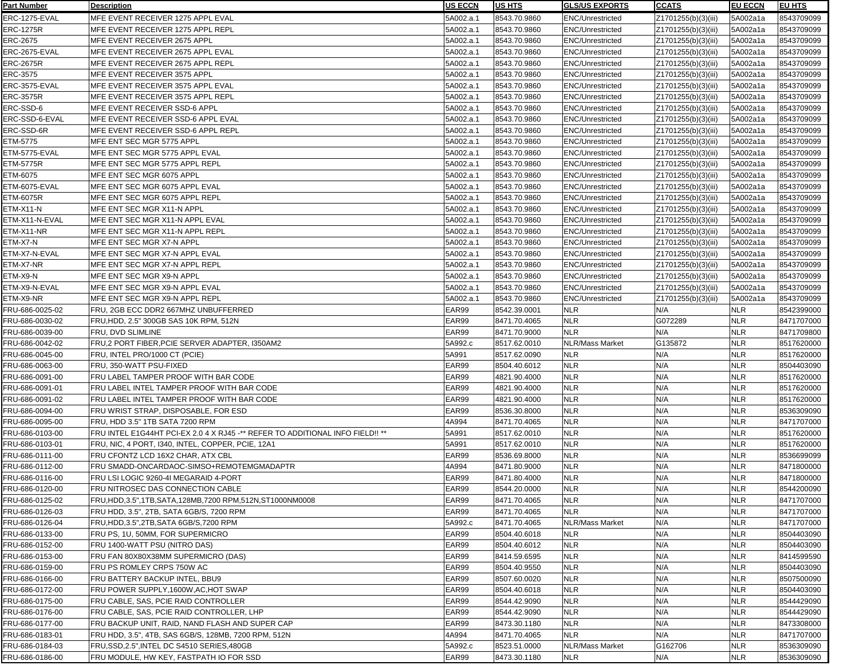| Part Number      | <b>Description</b>                                                            | <b>IUS ECCN</b> | <b>IUS HTS</b> | <b>GLS/US EXPORTS</b>   | <b>CCATS</b>        | <b>EU ECCN</b> | <b>EU HTS</b> |
|------------------|-------------------------------------------------------------------------------|-----------------|----------------|-------------------------|---------------------|----------------|---------------|
| ERC-1275-EVAL    | MFE EVENT RECEIVER 1275 APPL EVAL                                             | 5A002.a.1       | 8543.70.9860   | <b>ENC/Unrestricted</b> | Z1701255(b)(3)(iii) | 5A002a1a       | 8543709099    |
| ERC-1275R        | MFE EVENT RECEIVER 1275 APPL REPL                                             | 5A002.a.1       | 8543.70.9860   | <b>ENC/Unrestricted</b> | Z1701255(b)(3)(iii) | 5A002a1a       | 8543709099    |
| <b>ERC-2675</b>  | MFE EVENT RECEIVER 2675 APPL                                                  | 5A002.a.1       | 8543.70.9860   | <b>ENC/Unrestricted</b> | Z1701255(b)(3)(iii) | 5A002a1a       | 8543709099    |
| ERC-2675-EVAL    | MFE EVENT RECEIVER 2675 APPL EVAL                                             | 5A002.a.1       | 8543.70.9860   | <b>ENC/Unrestricted</b> | Z1701255(b)(3)(iii) | 5A002a1a       | 8543709099    |
| <b>ERC-2675R</b> | MFE EVENT RECEIVER 2675 APPL REPL                                             | 5A002.a.1       | 8543.70.9860   | <b>ENC/Unrestricted</b> | Z1701255(b)(3)(iii) | 5A002a1a       | 8543709099    |
| ERC-3575         | MFE EVENT RECEIVER 3575 APPL                                                  | 5A002.a.1       | 8543.70.9860   | <b>ENC/Unrestricted</b> | Z1701255(b)(3)(iii) | 5A002a1a       | 8543709099    |
| ERC-3575-EVAL    | MFE EVENT RECEIVER 3575 APPL EVAL                                             | 5A002.a.1       | 8543.70.9860   | <b>ENC/Unrestricted</b> | Z1701255(b)(3)(iii) | 5A002a1a       | 8543709099    |
| <b>ERC-3575R</b> | MFE EVENT RECEIVER 3575 APPL REPL                                             | 5A002.a.1       | 8543.70.9860   | <b>ENC/Unrestricted</b> | Z1701255(b)(3)(iii) | 5A002a1a       | 8543709099    |
| ERC-SSD-6        | MFE EVENT RECEIVER SSD-6 APPL                                                 | 5A002.a.1       | 8543.70.9860   | <b>ENC/Unrestricted</b> | Z1701255(b)(3)(iii) | 5A002a1a       | 8543709099    |
| ERC-SSD-6-EVAL   | MFE EVENT RECEIVER SSD-6 APPL EVAL                                            | 5A002.a.1       | 8543.70.9860   | <b>ENC/Unrestricted</b> | Z1701255(b)(3)(iii) | 5A002a1a       | 8543709099    |
| ERC-SSD-6R       | MFE EVENT RECEIVER SSD-6 APPL REPL                                            | 5A002.a.1       | 8543.70.9860   | <b>ENC/Unrestricted</b> | Z1701255(b)(3)(iii) | 5A002a1a       | 8543709099    |
| ETM-5775         | MFE ENT SEC MGR 5775 APPL                                                     | 5A002.a.1       | 8543.70.9860   | <b>ENC/Unrestricted</b> | Z1701255(b)(3)(iii) | 5A002a1a       | 8543709099    |
| ETM-5775-EVAL    | MFE ENT SEC MGR 5775 APPL EVAL                                                | 5A002.a.1       | 8543.70.9860   | <b>ENC/Unrestricted</b> | Z1701255(b)(3)(iii) | 5A002a1a       | 8543709099    |
| <b>ETM-5775R</b> | MFE ENT SEC MGR 5775 APPL REPL                                                | 5A002.a.1       | 8543.70.9860   | <b>ENC/Unrestricted</b> | Z1701255(b)(3)(iii) | 5A002a1a       | 8543709099    |
| ETM-6075         | MFE ENT SEC MGR 6075 APPL                                                     | 5A002.a.1       | 8543.70.9860   | <b>ENC/Unrestricted</b> | Z1701255(b)(3)(iii) | 5A002a1a       | 8543709099    |
|                  | MFE ENT SEC MGR 6075 APPL EVAL                                                |                 |                | <b>ENC/Unrestricted</b> |                     |                | 8543709099    |
| ETM-6075-EVAL    |                                                                               | 5A002.a.1       | 8543.70.9860   | <b>ENC/Unrestricted</b> | Z1701255(b)(3)(iii) | 5A002a1a       |               |
| ETM-6075R        | MFE ENT SEC MGR 6075 APPL REPL                                                | 5A002.a.1       | 8543.70.9860   |                         | Z1701255(b)(3)(iii) | 5A002a1a       | 8543709099    |
| ETM-X11-N        | MFE ENT SEC MGR X11-N APPL                                                    | 5A002.a.1       | 8543.70.9860   | <b>ENC/Unrestricted</b> | Z1701255(b)(3)(iii) | 5A002a1a       | 8543709099    |
| ETM-X11-N-EVAL   | MFE ENT SEC MGR X11-N APPL EVAL                                               | 5A002.a.1       | 8543.70.9860   | <b>ENC/Unrestricted</b> | Z1701255(b)(3)(iii) | 5A002a1a       | 8543709099    |
| ETM-X11-NR       | MFE ENT SEC MGR X11-N APPL REPL                                               | 5A002.a.1       | 8543.70.9860   | <b>ENC/Unrestricted</b> | Z1701255(b)(3)(iii) | 5A002a1a       | 8543709099    |
| ETM-X7-N         | MFE ENT SEC MGR X7-N APPL                                                     | 5A002.a.1       | 8543.70.9860   | <b>ENC/Unrestricted</b> | Z1701255(b)(3)(iii) | 5A002a1a       | 8543709099    |
| ETM-X7-N-EVAL    | MFE ENT SEC MGR X7-N APPL EVAL                                                | 5A002.a.1       | 8543.70.9860   | <b>ENC/Unrestricted</b> | Z1701255(b)(3)(iii) | 5A002a1a       | 8543709099    |
| ETM-X7-NR        | MFE ENT SEC MGR X7-N APPL REPL                                                | 5A002.a.1       | 8543.70.9860   | <b>ENC/Unrestricted</b> | Z1701255(b)(3)(iii) | 5A002a1a       | 8543709099    |
| ETM-X9-N         | MFE ENT SEC MGR X9-N APPL                                                     | 5A002.a.1       | 8543.70.9860   | <b>ENC/Unrestricted</b> | Z1701255(b)(3)(iii) | 5A002a1a       | 8543709099    |
| ETM-X9-N-EVAL    | MFE ENT SEC MGR X9-N APPL EVAL                                                | 5A002.a.1       | 8543.70.9860   | <b>ENC/Unrestricted</b> | Z1701255(b)(3)(iii) | 5A002a1a       | 8543709099    |
| ETM-X9-NR        | MFE ENT SEC MGR X9-N APPL REPL                                                | 5A002.a.1       | 8543.70.9860   | <b>ENC/Unrestricted</b> | Z1701255(b)(3)(iii) | 5A002a1a       | 8543709099    |
| FRU-686-0025-02  | FRU, 2GB ECC DDR2 667MHZ UNBUFFERRED                                          | EAR99           | 8542.39.0001   | <b>NLR</b>              | N/A                 | <b>NLR</b>     | 8542399000    |
| FRU-686-0030-02  | FRU, HDD, 2.5" 300GB SAS 10K RPM, 512N                                        | EAR99           | 8471.70.4065   | <b>NLR</b>              | G072289             | <b>NLR</b>     | 8471707000    |
| FRU-686-0039-00  | FRU, DVD SLIMLINE                                                             | EAR99           | 8471.70.9000   | <b>NLR</b>              | N/A                 | <b>NLR</b>     | 8471709800    |
| FRU-686-0042-02  | FRU,2 PORT FIBER, PCIE SERVER ADAPTER, I350AM2                                | 5A992.c         | 8517.62.0010   | <b>NLR/Mass Market</b>  | G135872             | <b>NLR</b>     | 8517620000    |
| FRU-686-0045-00  | FRU, INTEL PRO/1000 CT (PCIE)                                                 | 5A991           | 8517.62.0090   | <b>NLR</b>              | N/A                 | <b>NLR</b>     | 8517620000    |
| FRU-686-0063-00  | FRU, 350-WATT PSU-FIXED                                                       | EAR99           | 8504.40.6012   | <b>NLR</b>              | N/A                 | <b>NLR</b>     | 8504403090    |
| FRU-686-0091-00  | FRU LABEL TAMPER PROOF WITH BAR CODE                                          | EAR99           | 4821.90.4000   | <b>NLR</b>              | N/A                 | <b>NLR</b>     | 8517620000    |
| FRU-686-0091-01  | FRU LABEL INTEL TAMPER PROOF WITH BAR CODE                                    | EAR99           | 4821.90.4000   | <b>NLR</b>              | N/A                 | <b>NLR</b>     | 8517620000    |
| FRU-686-0091-02  | FRU LABEL INTEL TAMPER PROOF WITH BAR CODE                                    | EAR99           | 4821.90.4000   | <b>NLR</b>              | N/A                 | <b>NLR</b>     | 8517620000    |
| FRU-686-0094-00  | FRU WRIST STRAP, DISPOSABLE, FOR ESD                                          | EAR99           | 8536.30.8000   | <b>NLR</b>              | N/A                 | <b>NLR</b>     | 8536309090    |
| FRU-686-0095-00  | FRU, HDD 3.5" 1TB SATA 7200 RPM                                               | 4A994           | 8471.70.4065   | <b>NLR</b>              | N/A                 | <b>NLR</b>     | 8471707000    |
| FRU-686-0103-00  | FRU INTEL E1G44HT PCI-EX 2.0 4 X RJ45 -** REFER TO ADDITIONAL INFO FIELD!! ** | 5A991           | 8517.62.0010   | <b>NLR</b>              | N/A                 | <b>NLR</b>     | 8517620000    |
| FRU-686-0103-01  | FRU, NIC, 4 PORT, 1340, INTEL, COPPER, PCIE, 12A1                             | 5A991           | 8517.62.0010   | <b>NLR</b>              | N/A                 | <b>NLR</b>     | 8517620000    |
| FRU-686-0111-00  | FRU CFONTZ LCD 16X2 CHAR, ATX CBL                                             | EAR99           | 8536.69.8000   | <b>NLR</b>              | N/A                 | <b>NLR</b>     | 8536699099    |
| FRU-686-0112-00  | FRU SMADD-ONCARDAOC-SIMSO+REMOTEMGMADAPTR                                     | 4A994           | 8471.80.9000   | <b>NLR</b>              | N/A                 | <b>NLR</b>     | 8471800000    |
| FRU-686-0116-00  | FRU LSI LOGIC 9260-41 MEGARAID 4-PORT                                         | EAR99           | 8471.80.4000   | <b>NLR</b>              | N/A                 | <b>NLR</b>     | 8471800000    |
| FRU-686-0120-00  | FRU NITROSEC DAS CONNECTION CABLE                                             | EAR99           | 8544.20.0000   | <b>NLR</b>              | N/A                 | <b>NLR</b>     | 8544200090    |
| FRU-686-0125-02  | FRU, HDD, 3.5", 1TB, SATA, 128MB, 7200 RPM, 512N, ST1000NM0008                | EAR99           | 8471.70.4065   | <b>NLR</b>              | N/A                 | <b>NLR</b>     | 8471707000    |
| FRU-686-0126-03  | FRU HDD, 3.5", 2TB, SATA 6GB/S, 7200 RPM                                      | EAR99           | 8471.70.4065   | <b>NLR</b>              | N/A                 | <b>NLR</b>     | 8471707000    |
| FRU-686-0126-04  | FRU, HDD, 3.5", 2TB, SATA 6GB/S, 7200 RPM                                     | 5A992.c         | 8471.70.4065   | NLR/Mass Market         | N/A                 | <b>NLR</b>     | 8471707000    |
| FRU-686-0133-00  | FRU PS, 1U, 50MM, FOR SUPERMICRO                                              | EAR99           | 8504.40.6018   | <b>NLR</b>              | N/A                 | <b>NLR</b>     | 8504403090    |
| FRU-686-0152-00  | FRU 1400-WATT PSU (NITRO DAS)                                                 | EAR99           | 8504.40.6012   | <b>NLR</b>              | N/A                 | <b>NLR</b>     | 8504403090    |
| FRU-686-0153-00  | FRU FAN 80X80X38MM SUPERMICRO (DAS)                                           | EAR99           | 8414.59.6595   | <b>NLR</b>              | N/A                 | <b>NLR</b>     | 8414599590    |
| FRU-686-0159-00  | FRU PS ROMLEY CRPS 750W AC                                                    | EAR99           | 8504.40.9550   | <b>NLR</b>              | N/A                 | <b>NLR</b>     | 8504403090    |
| FRU-686-0166-00  | FRU BATTERY BACKUP INTEL, BBU9                                                | EAR99           | 8507.60.0020   | <b>NLR</b>              | N/A                 | <b>NLR</b>     | 8507500090    |
| FRU-686-0172-00  | FRU POWER SUPPLY, 1600W, AC, HOT SWAP                                         | EAR99           | 8504.40.6018   | <b>NLR</b>              | N/A                 | <b>NLR</b>     | 8504403090    |
| FRU-686-0175-00  | FRU CABLE, SAS, PCIE RAID CONTROLLER                                          | EAR99           | 8544.42.9090   | <b>NLR</b>              | N/A                 | <b>NLR</b>     | 8544429090    |
| FRU-686-0176-00  | FRU CABLE, SAS, PCIE RAID CONTROLLER, LHP                                     | EAR99           | 8544.42.9090   | <b>NLR</b>              | N/A                 | <b>NLR</b>     | 8544429090    |
| FRU-686-0177-00  | FRU BACKUP UNIT, RAID, NAND FLASH AND SUPER CAP                               | EAR99           | 8473.30.1180   | <b>NLR</b>              | N/A                 | <b>NLR</b>     | 8473308000    |
| FRU-686-0183-01  | FRU HDD, 3.5", 4TB, SAS 6GB/S, 128MB, 7200 RPM, 512N                          | 4A994           | 8471.70.4065   | <b>NLR</b>              | N/A                 | <b>NLR</b>     | 8471707000    |
| FRU-686-0184-03  | FRU,SSD,2.5", INTEL DC S4510 SERIES,480GB                                     | 5A992.c         | 8523.51.0000   | <b>NLR/Mass Market</b>  | G162706             | <b>NLR</b>     | 8536309090    |
| FRU-686-0186-00  | FRU MODULE, HW KEY, FASTPATH IO FOR SSD                                       | EAR99           | 8473.30.1180   | <b>NLR</b>              | N/A                 | <b>NLR</b>     | 8536309090    |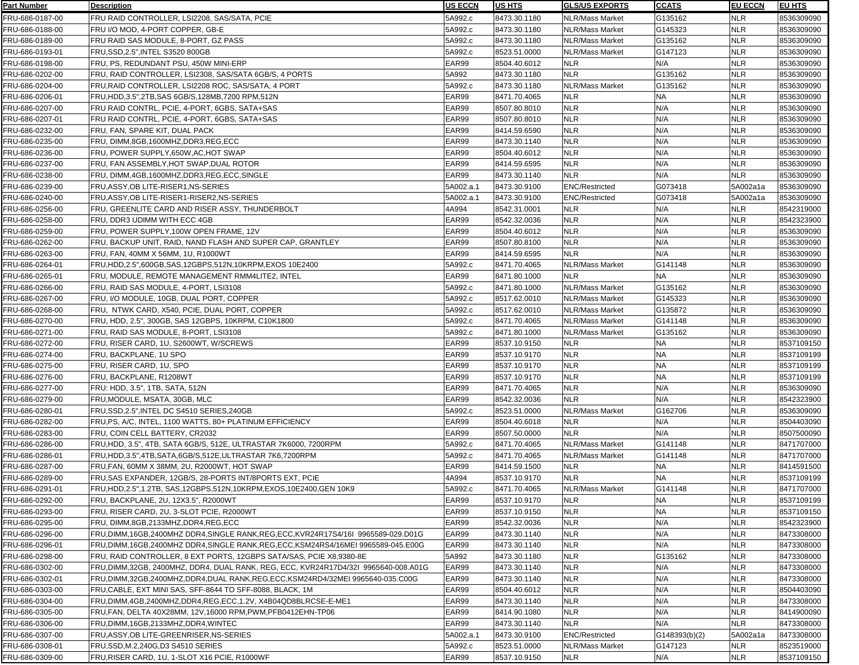| <b>Part Number</b>                 | <b>Description</b>                                                                                   | <b>US ECCN</b>   | US HTS                       | GLS/US EXPORTS                            | <b>CCATS</b>  | <b>EU ECCN</b>    | <b>IEU HTS</b>           |
|------------------------------------|------------------------------------------------------------------------------------------------------|------------------|------------------------------|-------------------------------------------|---------------|-------------------|--------------------------|
| FRU-686-0187-00                    | FRU RAID CONTROLLER, LSI2208, SAS/SATA, PCIE                                                         | 5A992.c          | 8473.30.1180                 | NLR/Mass Market                           | G135162       | <b>NLR</b>        | 8536309090               |
| FRU-686-0188-00                    | FRU I/O MOD, 4-PORT COPPER, GB-E                                                                     | 5A992.c          | 8473.30.1180                 | NLR/Mass Market                           | G145323       | <b>NLR</b>        | 8536309090               |
| FRU-686-0189-00                    | FRU RAID SAS MODULE, 8-PORT, GZ PASS                                                                 | 5A992.c          | 8473.30.1180                 | NLR/Mass Market                           | G135162       | <b>NLR</b>        | 8536309090               |
| FRU-686-0193-01                    | FRU, SSD, 2.5", INTEL S3520 800GB                                                                    | 5A992.c          | 8523.51.0000                 | NLR/Mass Market                           | G147123       | <b>NLR</b>        | 8536309090               |
| FRU-686-0198-00                    | FRU. PS. REDUNDANT PSU. 450W MINI-ERP                                                                | EAR99            | 8504.40.6012                 | <b>NLR</b>                                | N/A           | <b>NLR</b>        | 8536309090               |
| FRU-686-0202-00                    | FRU, RAID CONTROLLER, LSI2308, SAS/SATA 6GB/S, 4 PORTS                                               | 5A992            | 8473.30.1180                 | <b>NLR</b>                                | G135162       | NLR               | 8536309090               |
| FRU-686-0204-00                    | FRU, RAID CONTROLLER, LSI2208 ROC, SAS/SATA, 4 PORT                                                  | 5A992.c          | 8473.30.1180                 | NLR/Mass Market                           | G135162       | NLR               | 8536309090               |
| FRU-686-0206-01                    | FRU, HDD, 3.5", 2TB, SAS 6GB/S, 128MB, 7200 RPM, 512N                                                | EAR99            | 8471.70.4065                 | <b>NLR</b>                                | <b>NA</b>     | <b>NLR</b>        | 8536309090               |
| FRU-686-0207-00                    | FRU RAID CONTRL, PCIE, 4-PORT, 6GBS, SATA+SAS                                                        | EAR99            | 8507.80.8010                 | <b>NLR</b>                                | N/A           | NLR               | 8536309090               |
| FRU-686-0207-01                    | FRU RAID CONTRL, PCIE, 4-PORT, 6GBS, SATA+SAS                                                        | EAR99            | 8507.80.8010                 | <b>NLR</b>                                | N/A           | <b>NLR</b>        | 8536309090               |
| FRU-686-0232-00                    | FRU, FAN, SPARE KIT, DUAL PACK                                                                       | EAR99            | 8414.59.6590                 | <b>NLR</b>                                | N/A           | <b>NLR</b>        | 8536309090               |
| FRU-686-0235-00                    | FRU, DIMM,8GB,1600MHZ,DDR3,REG,ECC                                                                   | EAR99            | 8473.30.1140                 | <b>NLR</b>                                | N/A           | <b>NLR</b>        | 8536309090               |
| FRU-686-0236-00                    | FRU, POWER SUPPLY,650W, AC, HOT SWAP                                                                 | EAR99            | 8504.40.6012                 | <b>NLR</b>                                | N/A           | <b>NLR</b>        | 8536309090               |
| FRU-686-0237-00                    | FRU, FAN ASSEMBLY, HOT SWAP, DUAL ROTOR                                                              | EAR99            | 8414.59.6595                 | <b>NLR</b>                                | N/A           | <b>NLR</b>        | 8536309090               |
| FRU-686-0238-00                    | FRU, DIMM,4GB,1600MHZ,DDR3,REG,ECC,SINGLE                                                            | EAR99            | 8473.30.1140                 | <b>NLR</b>                                | N/A           | <b>NLR</b>        | 8536309090               |
|                                    | FRU, ASSY, OB LITE-RISER1, NS-SERIES                                                                 | 5A002.a.1        | 8473.30.9100                 | <b>ENC/Restricted</b>                     | G073418       | 5A002a1a          | 8536309090               |
| FRU-686-0239-00                    | FRU, ASSY, OB LITE-RISER1-RISER2, NS-SERIES                                                          | 5A002.a.1        | 8473.30.9100                 | <b>ENC/Restricted</b>                     | G073418       | 5A002a1a          | 8536309090               |
| FRU-686-0240-00<br>FRU-686-0256-00 | FRU, GREENLITE CARD AND RISER ASSY, THUNDERBOLT                                                      | 4A994            | 8542.31.0001                 | <b>NLR</b>                                | N/A           |                   |                          |
| FRU-686-0258-00                    | FRU, DDR3 UDIMM WITH ECC 4GB                                                                         | EAR99            | 8542.32.0036                 | <b>NLR</b>                                | N/A           | NLR<br><b>NLR</b> | 8542319000<br>8542323900 |
| FRU-686-0259-00                    | FRU, POWER SUPPLY, 100W OPEN FRAME, 12V                                                              | EAR99            | 8504.40.6012                 | <b>NLR</b>                                | N/A           | <b>NLR</b>        | 8536309090               |
|                                    |                                                                                                      | EAR99            |                              | <b>NLR</b>                                | N/A           | <b>NLR</b>        |                          |
| FRU-686-0262-00                    | FRU, BACKUP UNIT, RAID, NAND FLASH AND SUPER CAP, GRANTLEY                                           | EAR99            | 8507.80.8100                 | <b>NLR</b>                                | N/A           |                   | 8536309090               |
| FRU-686-0263-00<br>FRU-686-0264-01 | FRU, FAN, 40MM X 56MM, 1U, R1000WT<br>FRU, HDD, 2.5", 600GB, SAS, 12GBPS, 512N, 10KRPM, EXOS 10E2400 | 5A992.c          | 8414.59.6595<br>8471.70.4065 | NLR/Mass Market                           | G141148       | NLR<br>NLR        | 8536309090<br>8536309090 |
| FRU-686-0265-01                    | FRU, MODULE, REMOTE MANAGEMENT RMM4LITE2, INTEL                                                      | EAR99            | 8471.80.1000                 | <b>NLR</b>                                | <b>NA</b>     | <b>NLR</b>        | 8536309090               |
| FRU-686-0266-00                    | FRU, RAID SAS MODULE, 4-PORT, LSI3108                                                                | 5A992.c          | 8471.80.1000                 | NLR/Mass Market                           | G135162       | NLR               | 8536309090               |
|                                    |                                                                                                      | 5A992.c          | 8517.62.0010                 | NLR/Mass Market                           | G145323       | <b>NLR</b>        |                          |
| FRU-686-0267-00                    | FRU, I/O MODULE, 10GB, DUAL PORT, COPPER                                                             | 5A992.c          | 8517.62.0010                 |                                           | G135872       |                   | 8536309090               |
| FRU-686-0268-00                    | FRU, NTWK CARD, X540, PCIE, DUAL PORT, COPPER                                                        | 5A992.c          |                              | <b>NLR/Mass Market</b>                    | G141148       | NLR               | 8536309090               |
| FRU-686-0270-00                    | FRU, HDD, 2.5", 300GB, SAS 12GBPS, 10KRPM, C10K1800                                                  |                  | 8471.70.4065                 | <b>NLR/Mass Market</b><br>NLR/Mass Market | G135162       | NLR<br><b>NLR</b> | 8536309090               |
| FRU-686-0271-00<br>FRU-686-0272-00 | FRU, RAID SAS MODULE, 8-PORT, LSI3108<br>FRU, RISER CARD, 1U, S2600WT, W/SCREWS                      | 5A992.c<br>EAR99 | 8471.80.1000<br>8537.10.9150 | <b>NLR</b>                                | <b>NA</b>     | NLR               | 8536309090<br>8537109150 |
| FRU-686-0274-00                    | FRU, BACKPLANE, 1U SPO                                                                               | EAR99            | 8537.10.9170                 | <b>NLR</b>                                | <b>NA</b>     | NLR               | 8537109199               |
| FRU-686-0275-00                    | FRU, RISER CARD, 1U, SPO                                                                             | EAR99            | 8537.10.9170                 | <b>NLR</b>                                | <b>NA</b>     | <b>NLR</b>        | 8537109199               |
| FRU-686-0276-00                    | FRU, BACKPLANE, R1208WT                                                                              | EAR99            | 8537.10.9170                 | <b>NLR</b>                                | <b>NA</b>     | <b>NLR</b>        | 8537109199               |
| FRU-686-0277-00                    | FRU: HDD, 3.5", 1TB, SATA, 512N                                                                      | EAR99            | 8471.70.4065                 | <b>NLR</b>                                | N/A           | <b>NLR</b>        | 8536309090               |
| FRU-686-0279-00                    | FRU, MODULE, MSATA, 30GB, MLC                                                                        | EAR99            | 8542.32.0036                 | <b>NLR</b>                                | N/A           | <b>NLR</b>        | 8542323900               |
| FRU-686-0280-01                    | FRU, SSD, 2.5", INTEL DC S4510 SERIES, 240GB                                                         | 5A992.c          | 8523.51.0000                 | <b>NLR/Mass Market</b>                    | G162706       | <b>NLR</b>        | 8536309090               |
| FRU-686-0282-00                    | FRU, PS, A/C, INTEL, 1100 WATTS, 80+ PLATINUM EFFICIENCY                                             | EAR99            | 8504.40.6018                 | <b>NLR</b>                                | N/A           | <b>NLR</b>        | 8504403090               |
| FRU-686-0283-00                    | FRU, COIN CELL BATTERY, CR2032                                                                       | EAR99            | 8507.50.0000                 | <b>NLR</b>                                | N/A           | NLR               | 8507500090               |
| FRU-686-0286-00                    | FRU,HDD, 3.5", 4TB, SATA 6GB/S, 512E, ULTRASTAR 7K6000, 7200RPM                                      | 5A992.c          | 8471.70.4065                 | NLR/Mass Market                           | G141148       | NLR               | 8471707000               |
| FRU-686-0286-01                    | FRU, HDD, 3.5", 4TB, SATA, 6GB/S, 512E, ULTRASTAR 7K6, 7200RPM                                       | 5A992.c          | 8471.70.4065                 | <b>NLR/Mass Market</b>                    | G141148       | NLR               | 8471707000               |
| FRU-686-0287-00                    | FRU, FAN, 60MM X 38MM, 2U, R2000WT, HOT SWAP                                                         | EAR99            | 8414.59.1500                 | <b>NLR</b>                                | <b>NA</b>     | NLR               | 8414591500               |
| FRU-686-0289-00                    | FRU, SAS EXPANDER, 12GB/S, 28-PORTS INT/8PORTS EXT, PCIE                                             | 4A994            | 8537.10.9170                 | <b>NLR</b>                                | <b>NA</b>     | <b>NLR</b>        | 8537109199               |
| FRU-686-0291-01                    | FRU, HDD, 2.5", 1.2TB, SAS, 12GBPS, 512N, 10KRPM, EXOS, 10E2400, GEN 10K9                            | 5A992.c          | 8471.70.4065                 | NLR/Mass Market                           | G141148       | <b>NLR</b>        | 8471707000               |
| FRU-686-0292-00                    | FRU, BACKPLANE, 2U, 12X3.5", R2000WT                                                                 | EAR99            | 8537.10.9170                 | <b>NLR</b>                                | <b>NA</b>     | <b>NLR</b>        | 8537109199               |
| FRU-686-0293-00                    | FRU, RISER CARD, 2U, 3-SLOT PCIE, R2000WT                                                            | EAR99            | 8537.10.9150                 | <b>NLR</b>                                | <b>NA</b>     | <b>NLR</b>        | 8537109150               |
| FRU-686-0295-00                    | FRU, DIMM,8GB,2133MHZ,DDR4,REG,ECC                                                                   | EAR99            | 8542.32.0036                 | <b>NLR</b>                                | N/A           | <b>NLR</b>        | 8542323900               |
| FRU-686-0296-00                    | FRU,DIMM,16GB,2400MHZ DDR4,SINGLE RANK,REG,ECC,KVR24R17S4/16I_9965589-029.D01G                       | EAR99            | 8473.30.1140                 | <b>NLR</b>                                | N/A           | <b>NLR</b>        | 8473308000               |
| FRU-686-0296-01                    | IFRU.DIMM.16GB.2400MHZ DDR4.SINGLE RANK.REG.ECC.KSM24RS4/16MEI 9965589-045.E00G                      | EAR99            | 8473.30.1140                 | <b>NLR</b>                                | N/A           | NLR               | 8473308000               |
| FRU-686-0298-00                    | FRU, RAID CONTROLLER, 8 EXT PORTS, 12GBPS SATA/SAS, PCIE X8,9380-8E                                  | 5A992            | 8473.30.1180                 | <b>NLR</b>                                | G135162       | NLR               | 8473308000               |
| FRU-686-0302-00                    | FRU,DIMM,32GB, 2400MHZ, DDR4, DUAL RANK, REG, ECC, KVR24R17D4/32I_9965640-008.A01G                   | EAR99            | 8473.30.1140                 | <b>NLR</b>                                | N/A           | NLR               | 8473308000               |
| FRU-686-0302-01                    | FRU,DIMM,32GB,2400MHZ,DDR4,DUAL RANK,REG,ECC,KSM24RD4/32MEI 9965640-035.C00G                         | EAR99            | 8473.30.1140                 | <b>NLR</b>                                | N/A           | NLR               | 8473308000               |
| FRU-686-0303-00                    | FRU, CABLE, EXT MINI SAS, SFF-8644 TO SFF-8088, BLACK, 1M                                            | EAR99            | 8504.40.6012                 | <b>NLR</b>                                | N/A           | <b>NLR</b>        | 8504403090               |
| FRU-686-0304-00                    | FRU,DIMM,4GB,2400MHZ,DDR4,REG,ECC,1.2V, X4B04QD8BLRCSE-E-ME1                                         | EAR99            | 8473.30.1140                 | <b>NLR</b>                                | N/A           | NLR               | 8473308000               |
| FRU-686-0305-00                    | FRU,FAN, DELTA 40X28MM, 12V,16000 RPM,PWM,PFB0412EHN-TP06                                            | EAR99            | 8414.90.1080                 | <b>NLR</b>                                | N/A           | <b>NLR</b>        | 8414900090               |
| FRU-686-0306-00                    | FRU, DIMM, 16GB, 2133MHZ, DDR4, WINTEC                                                               | EAR99            | 8473.30.1140                 | <b>NLR</b>                                | N/A           | <b>NLR</b>        | 8473308000               |
| FRU-686-0307-00                    | FRU, ASSY, OB LITE-GREENRISER, NS-SERIES                                                             | 5A002.a.1        | 8473.30.9100                 | <b>ENC/Restricted</b>                     | G148393(b)(2) | 5A002a1a          | 8473308000               |
| FRU-686-0308-01                    | FRU,SSD,M.2,240G,D3 S4510 SERIES                                                                     | 5A992.c          | 8523.51.0000                 | NLR/Mass Market                           | G147123       | <b>NLR</b>        | 8523519000               |
| FRU-686-0309-00                    | FRU,RISER CARD, 1U, 1-SLOT X16 PCIE, R1000WF                                                         | EAR99            | 8537.10.9150                 | <b>NLR</b>                                | N/A           | NLR               | 8537109150               |
|                                    |                                                                                                      |                  |                              |                                           |               |                   |                          |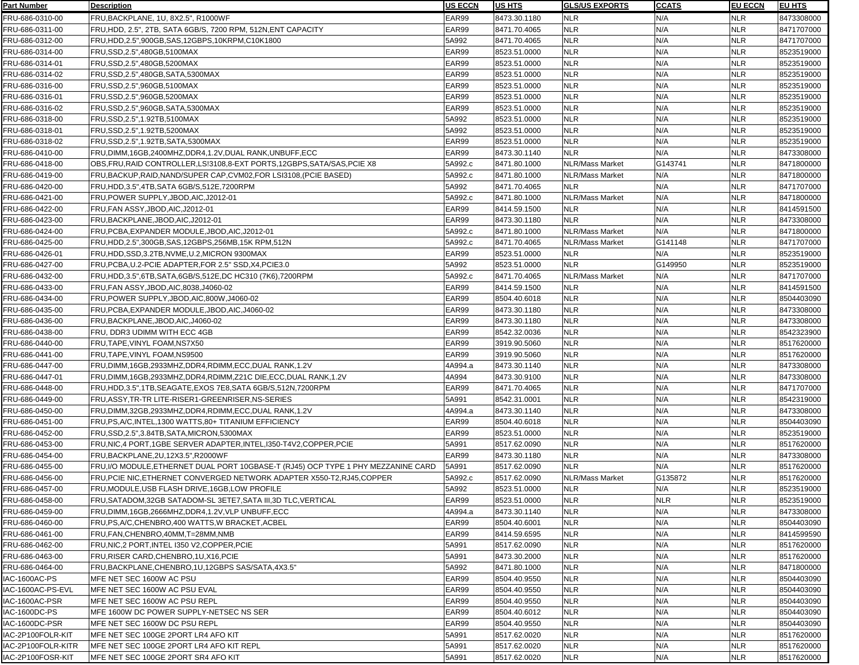| <b>Part Number</b> | <b>Description</b>                                                                          | <b>US ECCN</b> | <b>US HTS</b> | <b>GLS/US EXPORTS</b> | <b>CCATS</b> | <b>EU ECCN</b> | <b>EU HTS</b> |
|--------------------|---------------------------------------------------------------------------------------------|----------------|---------------|-----------------------|--------------|----------------|---------------|
| FRU-686-0310-00    | FRU, BACKPLANE, 1U, 8X2.5", R1000WF                                                         | EAR99          | 8473.30.1180  | <b>NLR</b>            | N/A          | <b>NLR</b>     | 8473308000    |
| FRU-686-0311-00    | FRU, HDD, 2.5", 2TB, SATA 6GB/S, 7200 RPM, 512N, ENT CAPACITY                               | EAR99          | 8471.70.4065  | <b>NLR</b>            | N/A          | <b>NLR</b>     | 8471707000    |
| FRU-686-0312-00    | FRU,HDD,2.5",900GB,SAS,12GBPS,10KRPM,C10K1800                                               | 5A992          | 8471.70.4065  | <b>NLR</b>            | N/A          | <b>NLR</b>     | 8471707000    |
| FRU-686-0314-00    | FRU, SSD, 2.5", 480GB, 5100MAX                                                              | EAR99          | 8523.51.0000  | <b>NLR</b>            | N/A          | <b>NLR</b>     | 8523519000    |
| FRU-686-0314-01    | FRU, SSD, 2.5", 480GB, 5200MAX                                                              | EAR99          | 8523.51.0000  | <b>NLR</b>            | N/A          | <b>NLR</b>     | 8523519000    |
| FRU-686-0314-02    | FRU, SSD, 2.5", 480GB, SATA, 5300MAX                                                        | EAR99          | 8523.51.0000  | <b>NLR</b>            | N/A          | <b>NLR</b>     | 8523519000    |
| FRU-686-0316-00    | FRU, SSD, 2.5", 960GB, 5100MAX                                                              | EAR99          | 8523.51.0000  | <b>NLR</b>            | N/A          | <b>NLR</b>     | 8523519000    |
| FRU-686-0316-01    | FRU, SSD, 2.5", 960GB, 5200MAX                                                              | EAR99          | 8523.51.0000  | <b>NLR</b>            | N/A          | <b>NLR</b>     | 8523519000    |
| FRU-686-0316-02    | FRU, SSD, 2.5", 960GB, SATA, 5300MAX                                                        | EAR99          | 8523.51.0000  | <b>NLR</b>            | N/A          | <b>NLR</b>     | 8523519000    |
| FRU-686-0318-00    | FRU, SSD, 2.5", 1.92TB, 5100MAX                                                             | 5A992          | 8523.51.0000  | <b>NLR</b>            | N/A          | <b>NLR</b>     | 8523519000    |
| FRU-686-0318-01    | FRU, SSD, 2.5", 1.92TB, 5200MAX                                                             | 5A992          | 8523.51.0000  | <b>NLR</b>            | N/A          | <b>NLR</b>     | 8523519000    |
| FRU-686-0318-02    | FRU,SSD,2.5",1.92TB,SATA,5300MAX                                                            | EAR99          | 8523.51.0000  | <b>NLR</b>            | N/A          | <b>NLR</b>     | 8523519000    |
| FRU-686-0410-00    | FRU,DIMM,16GB,2400MHZ,DDR4,1.2V,DUAL RANK,UNBUFF,ECC                                        | EAR99          | 8473.30.1140  | <b>NLR</b>            | N/A          | <b>NLR</b>     | 8473308000    |
|                    |                                                                                             | 5A992.c        |               | NLR/Mass Market       | G143741      | <b>NLR</b>     |               |
| FRU-686-0418-00    | OBS, FRU, RAID CONTROLLER, LS!3108, 8-EXT PORTS, 12GBPS, SATA/SAS, PCIE X8                  |                | 8471.80.1000  |                       |              |                | 8471800000    |
| FRU-686-0419-00    | FRU, BACKUP, RAID, NAND/SUPER CAP, CVM02, FOR LSI3108, (PCIE BASED)                         | 5A992.c        | 8471.80.1000  | NLR/Mass Market       | N/A          | <b>NLR</b>     | 8471800000    |
| FRU-686-0420-00    | FRU, HDD, 3.5", 4TB, SATA 6GB/S, 512E, 7200RPM                                              | 5A992          | 8471.70.4065  | <b>NLR</b>            | N/A          | <b>NLR</b>     | 8471707000    |
| FRU-686-0421-00    | FRU, POWER SUPPLY, JBOD, AIC, J2012-01                                                      | 5A992.c        | 8471.80.1000  | NLR/Mass Market       | N/A          | <b>NLR</b>     | 8471800000    |
| FRU-686-0422-00    | FRU, FAN ASSY, JBOD, AIC, J2012-01                                                          | EAR99          | 8414.59.1500  | <b>NLR</b>            | N/A          | <b>NLR</b>     | 8414591500    |
| FRU-686-0423-00    | FRU, BACKPLANE, JBOD, AIC, J2012-01                                                         | EAR99          | 8473.30.1180  | <b>NLR</b>            | N/A          | <b>NLR</b>     | 8473308000    |
| FRU-686-0424-00    | FRU, PCBA, EXPANDER MODULE, JBOD, AIC, J2012-01                                             | 5A992.c        | 8471.80.1000  | NLR/Mass Market       | N/A          | <b>NLR</b>     | 8471800000    |
| FRU-686-0425-00    | FRU,HDD,2.5",300GB,SAS,12GBPS,256MB,15K RPM,512N                                            | 5A992.c        | 8471.70.4065  | NLR/Mass Market       | G141148      | <b>NLR</b>     | 8471707000    |
| FRU-686-0426-01    | FRU, HDD, SSD, 3.2TB, NVME, U.2, MICRON 9300MAX                                             | EAR99          | 8523.51.0000  | <b>NLR</b>            | N/A          | <b>NLR</b>     | 8523519000    |
| FRU-686-0427-00    | FRU, PCBA, U.2-PCIE ADAPTER, FOR 2.5" SSD, X4, PCIE3.0                                      | 5A992          | 8523.51.0000  | <b>NLR</b>            | G149950      | <b>NLR</b>     | 8523519000    |
| FRU-686-0432-00    | FRU, HDD, 3.5", 6TB, SATA, 6GB/S, 512E, DC HC310 (7K6), 7200RPM                             | 5A992.c        | 8471.70.4065  | NLR/Mass Market       | N/A          | <b>NLR</b>     | 8471707000    |
| FRU-686-0433-00    | FRU,FAN ASSY,JBOD,AIC,8038,J4060-02                                                         | EAR99          | 8414.59.1500  | <b>NLR</b>            | N/A          | <b>NLR</b>     | 8414591500    |
| FRU-686-0434-00    | FRU, POWER SUPPLY, JBOD, AIC, 800W, J4060-02                                                | EAR99          | 8504.40.6018  | <b>NLR</b>            | N/A          | <b>NLR</b>     | 8504403090    |
| FRU-686-0435-00    | FRU, PCBA, EXPANDER MODULE, JBOD, AIC, J4060-02                                             | EAR99          | 8473.30.1180  | <b>NLR</b>            | N/A          | <b>NLR</b>     | 8473308000    |
| FRU-686-0436-00    | FRU, BACKPLANE, JBOD, AIC, J4060-02                                                         | EAR99          | 8473.30.1180  | <b>NLR</b>            | N/A          | <b>NLR</b>     | 8473308000    |
| FRU-686-0438-00    | FRU, DDR3 UDIMM WITH ECC 4GB                                                                | EAR99          | 8542.32.0036  | <b>NLR</b>            | N/A          | <b>NLR</b>     | 8542323900    |
| FRU-686-0440-00    | FRU, TAPE, VINYL FOAM, NS7X50                                                               | EAR99          | 3919.90.5060  | <b>NLR</b>            | N/A          | <b>NLR</b>     | 8517620000    |
| FRU-686-0441-00    | FRU,TAPE,VINYL FOAM,NS9500                                                                  | EAR99          | 3919.90.5060  | <b>NLR</b>            | N/A          | <b>NLR</b>     | 8517620000    |
| FRU-686-0447-00    | FRU.DIMM.16GB.2933MHZ.DDR4.RDIMM.ECC.DUAL RANK.1.2V                                         | 4A994.a        | 8473.30.1140  | <b>NLR</b>            | N/A          | <b>NLR</b>     | 8473308000    |
| FRU-686-0447-01    | FRU.DIMM.16GB.2933MHZ.DDR4.RDIMM.Z21C                          DIE.ECC.DUAL RANK.1.2V       | 4A994          | 8473.30.9100  | <b>NLR</b>            | N/A          | <b>NLR</b>     | 8473308000    |
| FRU-686-0448-00    | FRU.HDD.3.5".1TB.SEAGATE.EXOS                                   7E8.SATA 6GB/S.512N.7200RPM | EAR99          | 8471.70.4065  | <b>NLR</b>            | N/A          | <b>NLR</b>     | 8471707000    |
| FRU-686-0449-00    | FRU.ASSY.TR-TR LITE-RISER1-GREENRISER.NS-SERIES                                             | 5A991          | 8542.31.0001  | <b>NLR</b>            | N/A          | <b>NLR</b>     | 8542319000    |
| FRU-686-0450-00    | FRU, DIMM, 32GB, 2933MHZ, DDR4, RDIMM, ECC, DUAL RANK, 1.2V                                 | 4A994.a        | 8473.30.1140  | <b>NLR</b>            | N/A          | <b>NLR</b>     | 8473308000    |
| FRU-686-0451-00    | FRU, PS, A/C, INTEL, 1300 WATTS, 80+ TITANIUM EFFICIENCY                                    | EAR99          | 8504.40.6018  | <b>NLR</b>            | N/A          | <b>NLR</b>     | 8504403090    |
| FRU-686-0452-00    | FRU, SSD, 2.5", 3.84TB, SATA, MICRON, 5300MAX                                               | EAR99          | 8523.51.0000  | <b>NLR</b>            | N/A          | <b>NLR</b>     | 8523519000    |
| FRU-686-0453-00    | FRU, NIC, 4 PORT, 1GBE SERVER ADAPTER, INTEL, 1350-T4V2, COPPER, PCIE                       | 5A991          | 8517.62.0090  | <b>NLR</b>            | N/A          | <b>NLR</b>     | 8517620000    |
| FRU-686-0454-00    | FRU,BACKPLANE,2U,12X3.5",R2000WF                                                            | EAR99          | 8473.30.1180  | <b>NLR</b>            | N/A          | <b>NLR</b>     | 8473308000    |
| FRU-686-0455-00    | FRU, I/O MODULE, ETHERNET DUAL PORT 10GBASE-T (RJ45) OCP TYPE 1 PHY MEZZANINE CARD          | 5A991          | 8517.62.0090  | <b>NLR</b>            | N/A          | <b>NLR</b>     | 8517620000    |
| FRU-686-0456-00    | FRU.PCIE NIC.ETHERNET CONVERGED NETWORK ADAPTER X550-T2.RJ45.COPPER                         | 5A992.c        | 8517.62.0090  | NLR/Mass Market       | G135872      | <b>NLR</b>     | 8517620000    |
| FRU-686-0457-00    | FRU,MODULE,USB FLASH DRIVE,16GB,LOW PROFILE                                                 | 5A992          | 8523.51.0000  | <b>NLR</b>            | N/A          | <b>NLR</b>     | 8523519000    |
| FRU-686-0458-00    | FRU,SATADOM,32GB SATADOM-SL 3ETE7,SATA III,3D TLC,VERTICAL                                  | EAR99          | 8523.51.0000  | <b>NLR</b>            | <b>NLR</b>   | <b>NLR</b>     | 8523519000    |
| FRU-686-0459-00    | FRU, DIMM, 16GB, 2666MHZ, DDR4, 1.2V, VLP UNBUFF, ECC                                       | 4A994.a        | 8473.30.1140  | <b>NLR</b>            | N/A          | <b>NLR</b>     | 8473308000    |
| FRU-686-0460-00    | FRU,PS,A/C,CHENBRO,400 WATTS,W BRACKET,ACBEL                                                | EAR99          | 8504.40.6001  | <b>NLR</b>            | N/A          | <b>NLR</b>     | 8504403090    |
| FRU-686-0461-00    | FRU, FAN, CHENBRO, 40MM, T=28MM, NMB                                                        | EAR99          | 8414.59.6595  | <b>NLR</b>            | N/A          | <b>NLR</b>     | 8414599590    |
| FRU-686-0462-00    | FRU, NIC, 2 PORT, INTEL I350 V2, COPPER, PCIE                                               | 5A991          | 8517.62.0090  | <b>NLR</b>            | N/A          | <b>NLR</b>     | 8517620000    |
| FRU-686-0463-00    | FRU, RISER CARD, CHENBRO, 1U, X16, PCIE                                                     | 5A991          | 8473.30.2000  | <b>NLR</b>            | N/A          | <b>NLR</b>     | 8517620000    |
| FRU-686-0464-00    | FRU, BACKPLANE, CHENBRO, 1U, 12GBPS SAS/SATA, 4X3.5"                                        | 5A992          | 8471.80.1000  | <b>NLR</b>            | N/A          | <b>NLR</b>     | 8471800000    |
| IAC-1600AC-PS      | MFE NET SEC 1600W AC PSU                                                                    | EAR99          | 8504.40.9550  | <b>NLR</b>            | N/A          | <b>NLR</b>     | 8504403090    |
| IAC-1600AC-PS-EVL  | MFE NET SEC 1600W AC PSU EVAL                                                               | EAR99          | 8504.40.9550  | <b>NLR</b>            | N/A          | <b>NLR</b>     | 8504403090    |
| IAC-1600AC-PSR     | MFE NET SEC 1600W AC PSU REPL                                                               | EAR99          | 8504.40.9550  | <b>NLR</b>            | N/A          | <b>NLR</b>     | 8504403090    |
| IAC-1600DC-PS      | MFE 1600W DC POWER SUPPLY-NETSEC NS SER                                                     | EAR99          | 8504.40.6012  | <b>NLR</b>            | N/A          | <b>NLR</b>     | 8504403090    |
| IAC-1600DC-PSR     |                                                                                             | EAR99          | 8504.40.9550  | <b>NLR</b>            | N/A          | <b>NLR</b>     | 8504403090    |
|                    | MFE NET SEC 1600W DC PSU REPL                                                               |                | 8517.62.0020  | <b>NLR</b>            | N/A          | <b>NLR</b>     |               |
| IAC-2P100FOLR-KIT  | MFE NET SEC 100GE 2PORT LR4 AFO KIT                                                         | 5A991<br>5A991 |               | <b>NLR</b>            | N/A          | <b>NLR</b>     | 8517620000    |
| IAC-2P100FOLR-KITR | IMFE NET SEC 100GE 2PORT LR4 AFO KIT REPL                                                   |                | 8517.62.0020  |                       |              |                | 8517620000    |
| IAC-2P100FOSR-KIT  | MFE NET SEC 100GE 2PORT SR4 AFO KIT                                                         | 5A991          | 8517.62.0020  | <b>NLR</b>            | N/A          | <b>NLR</b>     | 8517620000    |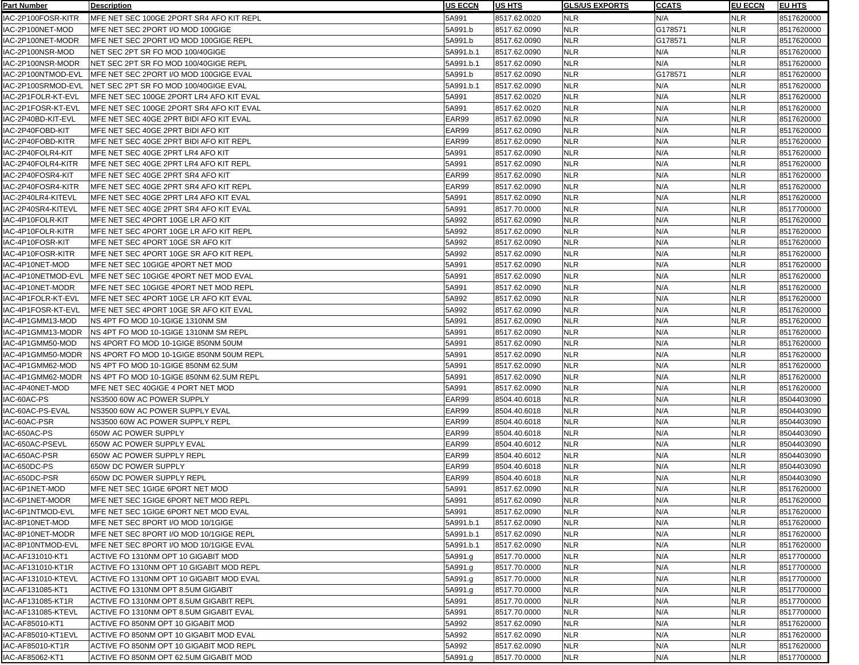| <b>Part Number</b> | <b>Description</b>                            | <b>US ECCN</b> | <b>US HTS</b> | <b>GLS/US EXPORTS</b> | <b>CCATS</b> | <b>EU ECCN</b> | <b>IEU HTS</b> |
|--------------------|-----------------------------------------------|----------------|---------------|-----------------------|--------------|----------------|----------------|
| IAC-2P100FOSR-KITR | IMFE NET SEC 100GE 2PORT SR4 AFO KIT REPL     | 5A991          | 8517.62.0020  | <b>NLR</b>            | N/A          | <b>NLR</b>     | 8517620000     |
| IAC-2P100NET-MOD   | MFE NET SEC 2PORT I/O MOD 100GIGE             | 5A991.b        | 8517.62.0090  | <b>NLR</b>            | G178571      | <b>NLR</b>     | 8517620000     |
| IAC-2P100NET-MODR  | MFE NET SEC 2PORT I/O MOD 100GIGE REPL        | 5A991.b        | 8517.62.0090  | <b>NLR</b>            | G178571      | <b>NLR</b>     | 8517620000     |
| IAC-2P100NSR-MOD   | NET SEC 2PT SR FO MOD 100/40GIGE              | 5A991.b.1      | 8517.62.0090  | <b>NLR</b>            | N/A          | <b>NLR</b>     | 8517620000     |
| IAC-2P100NSR-MODR  | NET SEC 2PT SR FO MOD 100/40GIGE REPL         | 5A991.b.1      | 8517.62.0090  | <b>NLR</b>            | N/A          | <b>NLR</b>     | 8517620000     |
| IAC-2P100NTMOD-EVL | IMFE NET SEC 2PORT I/O MOD 100GIGE EVAL       | 5A991.b        | 8517.62.0090  | <b>NLR</b>            | G178571      | NLR            | 8517620000     |
| IAC-2P100SRMOD-EVL | INET SEC 2PT SR FO MOD 100/40GIGE EVAL        | 5A991.b.1      | 8517.62.0090  | <b>NLR</b>            | N/A          | NLR            | 8517620000     |
| IAC-2P1FOLR-KT-EVL | IMFE NET SEC 100GE 2PORT LR4 AFO KIT EVAL     | 5A991          | 8517.62.0020  | <b>NLR</b>            | N/A          | <b>NLR</b>     | 8517620000     |
| IAC-2P1FOSR-KT-EVL | IMFE NET SEC 100GE 2PORT SR4 AFO KIT EVAL     | 5A991          | 8517.62.0020  | <b>NLR</b>            | N/A          | NLR            | 8517620000     |
| IAC-2P40BD-KIT-EVL | IMFE NET SEC 40GE 2PRT BIDI AFO KIT EVAL      | EAR99          | 8517.62.0090  | <b>NLR</b>            | N/A          | <b>NLR</b>     | 8517620000     |
| IAC-2P40FOBD-KIT   | IMFE NET SEC 40GE 2PRT BIDI AFO KIT           | EAR99          | 8517.62.0090  | <b>NLR</b>            | N/A          | <b>NLR</b>     | 8517620000     |
| IAC-2P40FOBD-KITR  | IMFE NET SEC 40GE 2PRT BIDI AFO KIT REPL      | EAR99          | 8517.62.0090  | <b>NLR</b>            | N/A          | <b>NLR</b>     | 8517620000     |
| IAC-2P40FOLR4-KIT  | MFE NET SEC 40GE 2PRT LR4 AFO KIT             | 5A991          | 8517.62.0090  | <b>NLR</b>            | N/A          | <b>NLR</b>     | 8517620000     |
|                    |                                               |                |               |                       |              |                |                |
| IAC-2P40FOLR4-KITR | MFE NET SEC 40GE 2PRT LR4 AFO KIT REPL        | 5A991          | 8517.62.0090  | <b>NLR</b>            | N/A          | <b>NLR</b>     | 8517620000     |
| IAC-2P40FOSR4-KIT  | MFE NET SEC 40GE 2PRT SR4 AFO KIT             | EAR99          | 8517.62.0090  | <b>NLR</b>            | N/A          | <b>NLR</b>     | 8517620000     |
| IAC-2P40FOSR4-KITR | IMFE NET SEC 40GE 2PRT SR4 AFO KIT REPL       | EAR99          | 8517.62.0090  | <b>NLR</b>            | N/A          | NLR            | 8517620000     |
| IAC-2P40LR4-KITEVL | MFE NET SEC 40GE 2PRT LR4 AFO KIT EVAL        | 5A991          | 8517.62.0090  | <b>NLR</b>            | N/A          | NLR            | 8517620000     |
| IAC-2P40SR4-KITEVL | IMFE NET SEC 40GE 2PRT SR4 AFO KIT EVAL       | 5A991          | 8517.70.0000  | <b>NLR</b>            | N/A          | NLR            | 8517700000     |
| IAC-4P10FOLR-KIT   | IMFE NET SEC 4PORT 10GE LR AFO KIT            | 5A992          | 8517.62.0090  | <b>NLR</b>            | N/A          | NLR            | 8517620000     |
| IAC-4P10FOLR-KITR  | IMFE NET SEC 4PORT 10GE LR AFO KIT REPL       | 5A992          | 8517.62.0090  | <b>NLR</b>            | N/A          | NLR            | 8517620000     |
| IAC-4P10FOSR-KIT   | MFE NET SEC 4PORT 10GE SR AFO KIT             | 5A992          | 8517.62.0090  | <b>NLR</b>            | N/A          | <b>NLR</b>     | 8517620000     |
| IAC-4P10FOSR-KITR  | IMFE NET SEC 4PORT 10GE SR AFO KIT REPL       | 5A992          | 8517.62.0090  | <b>NLR</b>            | N/A          | NLR            | 8517620000     |
| IAC-4P10NET-MOD    | MFE NET SEC 10GIGE 4PORT NET MOD              | 5A991          | 8517.62.0090  | <b>NLR</b>            | N/A          | NLR            | 8517620000     |
| IAC-4P10NETMOD-EVL | <b>IMFE NET SEC 10GIGE 4PORT NET MOD EVAL</b> | 5A991          | 8517.62.0090  | <b>NLR</b>            | N/A          | <b>NLR</b>     | 8517620000     |
| IAC-4P10NET-MODR   | IMFE NET SEC 10GIGE 4PORT NET MOD REPL        | 5A991          | 8517.62.0090  | <b>NLR</b>            | N/A          | NLR            | 8517620000     |
| IAC-4P1FOLR-KT-EVL | MFE NET SEC 4PORT 10GE LR AFO KIT EVAL        | 5A992          | 8517.62.0090  | <b>NLR</b>            | N/A          | NLR            | 8517620000     |
| IAC-4P1FOSR-KT-EVL | MFE NET SEC 4PORT 10GE SR AFO KIT EVAL        | 5A992          | 8517.62.0090  | <b>NLR</b>            | N/A          | NLR            | 8517620000     |
| IAC-4P1GMM13-MOD   | INS 4PT FO MOD 10-1GIGE 1310NM SM             | 5A991          | 8517.62.0090  | <b>NLR</b>            | N/A          | NLR            | 8517620000     |
| IAC-4P1GMM13-MODR  | INS 4PT FO MOD 10-1GIGE 1310NM SM REPL        | 5A991          | 8517.62.0090  | <b>NLR</b>            | N/A          | NLR            | 8517620000     |
| IAC-4P1GMM50-MOD   | INS 4PORT FO MOD 10-1GIGE 850NM 50UM          | 5A991          | 8517.62.0090  | <b>NLR</b>            | N/A          | NLR            | 8517620000     |
| IAC-4P1GMM50-MODR  | INS 4PORT FO MOD 10-1GIGE 850NM 50UM REPL     | 5A991          | 8517.62.0090  | <b>NLR</b>            | N/A          | NLR            | 8517620000     |
| IAC-4P1GMM62-MOD   | NS 4PT FO MOD 10-1GIGE 850NM 62.5UM           | 5A991          | 8517.62.0090  | <b>NLR</b>            | N/A          | <b>NLR</b>     | 8517620000     |
| IAC-4P1GMM62-MODR  | INS 4PT FO MOD 10-1GIGE 850NM 62.5UM REPL     | 5A991          | 8517.62.0090  | <b>NLR</b>            | N/A          | <b>NLR</b>     | 8517620000     |
| IAC-4P40NET-MOD    | MFE NET SEC 40GIGE 4 PORT NET MOD             | 5A991          | 8517.62.0090  | <b>NLR</b>            | N/A          | <b>NLR</b>     | 8517620000     |
| IAC-60AC-PS        | NS3500 60W AC POWER SUPPLY                    | EAR99          | 8504.40.6018  | <b>NLR</b>            | N/A          | <b>NLR</b>     | 8504403090     |
| IAC-60AC-PS-EVAL   | NS3500 60W AC POWER SUPPLY EVAL               | EAR99          | 8504.40.6018  | <b>NLR</b>            | N/A          | <b>NLR</b>     | 8504403090     |
| IAC-60AC-PSR       | NS3500 60W AC POWER SUPPLY REPL               | EAR99          | 8504.40.6018  | <b>NLR</b>            | N/A          | <b>NLR</b>     | 8504403090     |
| IAC-650AC-PS       | 650W AC POWER SUPPLY                          | EAR99          | 8504.40.6018  | <b>NLR</b>            | N/A          | NLR            | 8504403090     |
| IAC-650AC-PSEVL    | 650W AC POWER SUPPLY EVAL                     | EAR99          | 8504.40.6012  | <b>NLR</b>            | N/A          | NLR            | 8504403090     |
| IAC-650AC-PSR      | 650W AC POWER SUPPLY REPL                     | EAR99          | 8504.40.6012  | <b>NLR</b>            | N/A          | NLR            | 8504403090     |
| IAC-650DC-PS       | 650W DC POWER SUPPLY                          | EAR99          | 8504.40.6018  | <b>NLR</b>            | N/A          | NLR            | 8504403090     |
|                    | 1650W DC POWER SUPPLY REPL                    |                | 8504.40.6018  | <b>NLR</b>            | N/A          | <b>NLR</b>     |                |
| IAC-650DC-PSR      |                                               | EAR99          |               |                       |              |                | 8504403090     |
| IAC-6P1NET-MOD     | MFE NET SEC 1GIGE 6PORT NET MOD               | 5A991          | 8517.62.0090  | <b>NLR</b>            | N/A          | <b>NLR</b>     | 8517620000     |
| IAC-6P1NET-MODR    | MFE NET SEC 1GIGE 6PORT NET MOD REPL          | 5A991          | 8517.62.0090  | <b>NLR</b>            | N/A          | <b>NLR</b>     | 8517620000     |
| IAC-6P1NTMOD-EVL   | IMFE NET SEC 1GIGE 6PORT NET MOD EVAL         | 5A991          | 8517.62.0090  | <b>NLR</b>            | N/A          | <b>NLR</b>     | 8517620000     |
| IAC-8P10NET-MOD    | MFE NET SEC 8PORT I/O MOD 10/1GIGE            | 5A991.b.1      | 8517.62.0090  | <b>NLR</b>            | N/A          | <b>NLR</b>     | 8517620000     |
| IAC-8P10NET-MODR   | IMFE NET SEC 8PORT I/O MOD 10/1GIGE REPL      | 5A991.b.1      | 8517.62.0090  | <b>NLR</b>            | N/A          | NLR            | 8517620000     |
| IAC-8P10NTMOD-EVL  | MFE NET SEC 8PORT I/O MOD 10/1GIGE EVAL       | 5A991.b.1      | 8517.62.0090  | <b>NLR</b>            | N/A          | NLR            | 8517620000     |
| IAC-AF131010-KT1   | ACTIVE FO 1310NM OPT 10 GIGABIT MOD           | 5A991.g        | 8517.70.0000  | <b>NLR</b>            | N/A          | NLR            | 8517700000     |
| IAC-AF131010-KT1R  | ACTIVE FO 1310NM OPT 10 GIGABIT MOD REPL      | 5A991.g        | 8517.70.0000  | <b>NLR</b>            | N/A          | NLR            | 8517700000     |
| IAC-AF131010-KTEVL | ACTIVE FO 1310NM OPT 10 GIGABIT MOD EVAL      | 5A991.g        | 8517.70.0000  | <b>NLR</b>            | N/A          | NLR            | 8517700000     |
| IAC-AF131085-KT1   | ACTIVE FO 1310NM OPT 8.5UM GIGABIT            | 5A991.g        | 8517.70.0000  | <b>NLR</b>            | N/A          | <b>NLR</b>     | 8517700000     |
| IAC-AF131085-KT1R  | ACTIVE FO 1310NM OPT 8.5UM GIGABIT REPL       | 5A991          | 8517.70.0000  | <b>NLR</b>            | N/A          | <b>NLR</b>     | 8517700000     |
| IAC-AF131085-KTEVL | ACTIVE FO 1310NM OPT 8.5UM GIGABIT EVAL       | 5A991          | 8517.70.0000  | <b>NLR</b>            | N/A          | <b>NLR</b>     | 8517700000     |
| IAC-AF85010-KT1    | ACTIVE FO 850NM OPT 10 GIGABIT MOD            | 5A992          | 8517.62.0090  | <b>NLR</b>            | N/A          | NLR            | 8517620000     |
| IAC-AF85010-KT1EVL | ACTIVE FO 850NM OPT 10 GIGABIT MOD EVAL       | 5A992          | 8517.62.0090  | <b>NLR</b>            | N/A          | NLR            | 8517620000     |
| IAC-AF85010-KT1R   | ACTIVE FO 850NM OPT 10 GIGABIT MOD REPL       | 5A992          | 8517.62.0090  | <b>NLR</b>            | N/A          | <b>NLR</b>     | 8517620000     |
| IAC-AF85062-KT1    | ACTIVE FO 850NM OPT 62.5UM GIGABIT MOD        | 5A991.g        | 8517.70.0000  | <b>NLR</b>            | N/A          | <b>NLR</b>     | 8517700000     |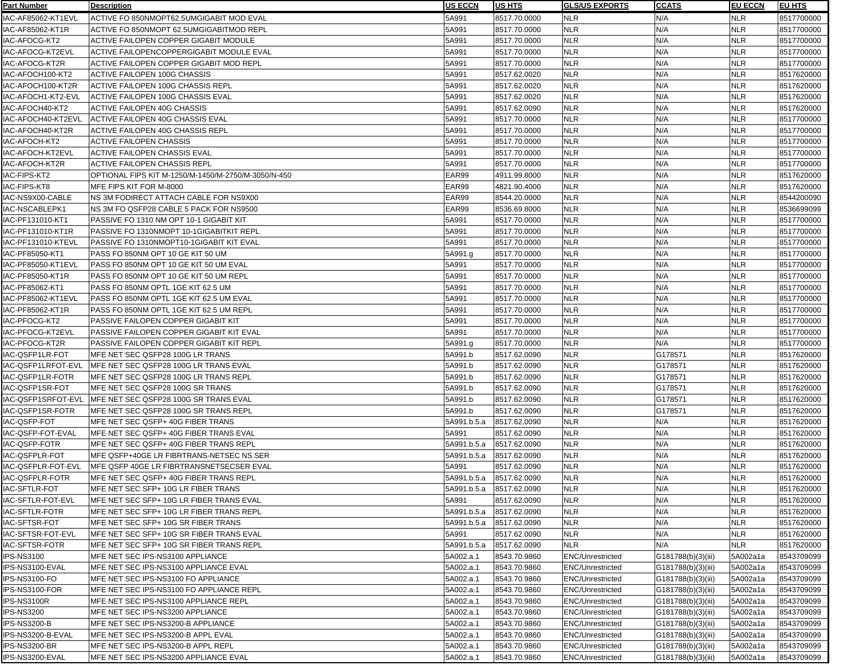| <b>Part Number</b>    | <b>Description</b>                                  | <b>US ECCN</b> | <b>US HTS</b> | <b>GLS/US EXPORTS</b>   | <b>CCATS</b>       | <b>EU ECCN</b> | <b>IEU HTS</b> |
|-----------------------|-----------------------------------------------------|----------------|---------------|-------------------------|--------------------|----------------|----------------|
| IAC-AF85062-KT1EVL    | ACTIVE FO 850NMOPT62.5UMGIGABIT MOD EVAL            | 5A991          | 8517.70.0000  | <b>NLR</b>              | N/A                | <b>NLR</b>     | 8517700000     |
| IAC-AF85062-KT1R      | ACTIVE FO 850NMOPT 62.5UMGIGABITMOD REPL            | 5A991          | 8517.70.0000  | <b>NLR</b>              | N/A                | <b>NLR</b>     | 8517700000     |
| IAC-AFOCG-KT2         | ACTIVE FAILOPEN COPPER GIGABIT MODULE               | 5A991          | 8517.70.0000  | <b>NLR</b>              | N/A                | <b>NLR</b>     | 8517700000     |
| IAC-AFOCG-KT2EVL      | <b>ACTIVE FAILOPENCOPPERGIGABIT MODULE EVAL</b>     | 5A991          | 8517.70.0000  | <b>NLR</b>              | N/A                | <b>NLR</b>     | 8517700000     |
| IAC-AFOCG-KT2R        | ACTIVE FAILOPEN COPPER GIGABIT MOD REPL             | 5A991          | 8517.70.0000  | <b>NLR</b>              | N/A                | <b>NLR</b>     | 8517700000     |
| IAC-AFOCH100-KT2      | ACTIVE FAILOPEN 100G CHASSIS                        | 5A991          | 8517.62.0020  | <b>NLR</b>              | N/A                | NLR            | 8517620000     |
| IAC-AFOCH100-KT2R     | ACTIVE FAILOPEN 100G CHASSIS REPL                   | 5A991          | 8517.62.0020  | <b>NLR</b>              | N/A                | NLR            | 8517620000     |
| IAC-AFOCH1-KT2-EVL    | ACTIVE FAILOPEN 100G CHASSIS EVAL                   | 5A991          | 8517.62.0020  | <b>NLR</b>              | N/A                | <b>NLR</b>     | 8517620000     |
| IAC-AFOCH40-KT2       | <b>ACTIVE FAILOPEN 40G CHASSIS</b>                  | 5A991          | 8517.62.0090  | <b>NLR</b>              | N/A                | <b>NLR</b>     | 8517620000     |
| IAC-AFOCH40-KT2EVL    | ACTIVE FAILOPEN 40G CHASSIS EVAL                    | 5A991          | 8517.70.0000  | <b>NLR</b>              | N/A                | <b>NLR</b>     | 8517700000     |
| IAC-AFOCH40-KT2R      | ACTIVE FAILOPEN 40G CHASSIS REPL                    | 5A991          | 8517.70.0000  | <b>NLR</b>              | N/A                | <b>NLR</b>     | 8517700000     |
| IAC-AFOCH-KT2         | <b>ACTIVE FAILOPEN CHASSIS</b>                      | 5A991          | 8517.70.0000  | <b>NLR</b>              | N/A                | <b>NLR</b>     | 8517700000     |
| IAC-AFOCH-KT2EVL      | ACTIVE FAILOPEN CHASSIS EVAL                        | 5A991          | 8517.70.0000  | <b>NLR</b>              | N/A                | <b>NLR</b>     | 8517700000     |
|                       |                                                     |                |               | <b>NLR</b>              | N/A                | <b>NLR</b>     |                |
| IAC-AFOCH-KT2R        | ACTIVE FAILOPEN CHASSIS REPL                        | 5A991          | 8517.70.0000  |                         |                    |                | 8517700000     |
| IAC-FIPS-KT2          | OPTIONAL FIPS KIT M-1250/M-1450/M-2750/M-3050/N-450 | EAR99          | 4911.99.8000  | <b>NLR</b>              | N/A                | <b>NLR</b>     | 8517620000     |
| IAC-FIPS-KT8          | MFE FIPS KIT FOR M-8000                             | EAR99          | 4821.90.4000  | <b>NLR</b>              | N/A                | NLR            | 8517620000     |
| IAC-NS9X00-CABLE      | NS 3M FODIRECT ATTACH CABLE FOR NS9X00              | EAR99          | 8544.20.0000  | <b>NLR</b>              | N/A                | NLR            | 8544200090     |
| IAC-NSCABLEPK1        | INS 3M FO QSFP28 CABLE 5 PACK FOR NS9500            | EAR99          | 8536.69.8000  | <b>NLR</b>              | N/A                | <b>NLR</b>     | 8536699099     |
| IAC-PF131010-KT1      | PASSIVE FO 1310 NM OPT 10-1 GIGABIT KIT             | 5A991          | 8517.70.0000  | <b>NLR</b>              | N/A                | <b>NLR</b>     | 8517700000     |
| IAC-PF131010-KT1R     | PASSIVE FO 1310NMOPT 10-1GIGABITKIT REPL            | 5A991          | 8517.70.0000  | <b>NLR</b>              | N/A                | NLR            | 8517700000     |
| IAC-PF131010-KTEVL    | PASSIVE FO 1310NMOPT10-1GIGABIT KIT EVAL            | 5A991          | 8517.70.0000  | <b>NLR</b>              | N/A                | <b>NLR</b>     | 8517700000     |
| IAC-PF85050-KT1       | PASS FO 850NM OPT 10 GE KIT 50 UM                   | 5A991.g        | 8517.70.0000  | <b>NLR</b>              | N/A                | <b>NLR</b>     | 8517700000     |
| IAC-PF85050-KT1EVL    | PASS FO 850NM OPT 10 GE KIT 50 UM EVAL              | 5A991          | 8517.70.0000  | <b>NLR</b>              | N/A                | <b>NLR</b>     | 8517700000     |
| IAC-PF85050-KT1R      | PASS FO 850NM OPT 10 GE KIT 50 UM REPL              | 5A991          | 8517.70.0000  | <b>NLR</b>              | N/A                | <b>NLR</b>     | 8517700000     |
| IAC-PF85062-KT1       | PASS FO 850NM OPTL 1GE KIT 62.5 UM                  | 5A991          | 8517.70.0000  | <b>NLR</b>              | N/A                | <b>NLR</b>     | 8517700000     |
| IAC-PF85062-KT1EVL    | PASS FO 850NM OPTL 1GE KIT 62.5 UM EVAL             | 5A991          | 8517.70.0000  | <b>NLR</b>              | N/A                | <b>NLR</b>     | 8517700000     |
| IAC-PF85062-KT1R      | PASS FO 850NM OPTL 1GE KIT 62.5 UM REPL             | 5A991          | 8517.70.0000  | <b>NLR</b>              | N/A                | NLR            | 8517700000     |
| IAC-PFOCG-KT2         | PASSIVE FAILOPEN COPPER GIGABIT KIT                 | 5A991          | 8517.70.0000  | <b>NLR</b>              | N/A                | NLR            | 8517700000     |
| IAC-PFOCG-KT2EVL      | PASSIVE FAILOPEN COPPER GIGABIT KIT EVAL            | 5A991          | 8517.70.0000  | <b>NLR</b>              | N/A                | NLR            | 8517700000     |
| IAC-PFOCG-KT2R        | PASSIVE FAILOPEN COPPER GIGABIT KIT REPL            | 5A991.g        | 8517.70.0000  | <b>NLR</b>              | N/A                | NLR            | 8517700000     |
| IAC-QSFP1LR-FOT       | MFE NET SEC QSFP28 100G LR TRANS                    | 5A991.b        | 8517.62.0090  | <b>NLR</b>              | G178571            | NLR            | 8517620000     |
| IAC-QSFP1LRFOT-EVL    | MFE NET SEC QSFP28 100G LR TRANS EVAL               | 5A991.b        | 8517.62.0090  | <b>NLR</b>              | G178571            | <b>NLR</b>     | 8517620000     |
| IAC-QSFP1LR-FOTR      | MFE NET SEC QSFP28 100G LR TRANS REPL               | 5A991.b        | 8517.62.0090  | <b>NLR</b>              | G178571            | <b>NLR</b>     | 8517620000     |
| IAC-QSFP1SR-FOT       | MFE NET SEC QSFP28 100G SR TRANS                    | 5A991.b        | 8517.62.0090  | <b>NLR</b>              | G178571            | <b>NLR</b>     | 8517620000     |
| IAC-QSFP1SRFOT-EVL    | MFE NET SEC QSFP28 100G SR TRANS EVAL               | 5A991.b        | 8517.62.0090  | <b>NLR</b>              | G178571            | <b>NLR</b>     | 8517620000     |
| IAC-QSFP1SR-FOTR      | IMFE NET SEC QSFP28 100G SR TRANS REPL              | 5A991.b        | 8517.62.0090  | <b>NLR</b>              | G178571            | <b>NLR</b>     | 8517620000     |
| IAC-QSFP-FOT          | MFE NET SEC QSFP+ 40G FIBER TRANS                   | 5A991.b.5.a    | 8517.62.0090  | <b>NLR</b>              | N/A                | <b>NLR</b>     | 8517620000     |
| IAC-QSFP-FOT-EVAL     | IMFE NET SEC QSFP+ 40G FIBER TRANS EVAL             | 5A991          | 8517.62.0090  | <b>NLR</b>              | N/A                | NLR            | 8517620000     |
| IAC-QSFP-FOTR         | IMFE NET SEC QSFP+ 40G FIBER TRANS REPL             | 5A991.b.5.a    | 8517.62.0090  | <b>NLR</b>              | N/A                | NLR            | 8517620000     |
| IAC-QSFPLR-FOT        | IMFE QSFP+40GE LR FIBRTRANS-NETSEC NS SER           | 5A991.b.5.a    | 8517.62.0090  | <b>NLR</b>              | N/A                | NLR            | 8517620000     |
| IAC-QSFPLR-FOT-EVL    | IMFE QSFP 40GE LR FIBRTRANSNETSECSER EVAL           | 5A991          | 8517.62.0090  | <b>NLR</b>              | N/A                | NLR            | 8517620000     |
| IAC-QSFPLR-FOTR       | IMFE NET SEC QSFP+ 40G FIBER TRANS REPL             | 5A991.b.5.a    | 8517.62.0090  | <b>NLR</b>              | N/A                | <b>NLR</b>     | 8517620000     |
| <b>IAC-SFTLR-FOT</b>  | IMFE NET SEC SFP+ 10G LR FIBER TRANS                | 5A991.b.5.a    | 8517.62.0090  | <b>NLR</b>              | N/A                | <b>NLR</b>     | 8517620000     |
| IAC-SFTLR-FOT-EVL     | IMFE NET SEC SFP+ 10G LR FIBER TRANS EVAL           | 5A991          | 8517.62.0090  | <b>NLR</b>              | N/A                | <b>NLR</b>     | 8517620000     |
| <b>IAC-SFTLR-FOTR</b> | MFE NET SEC SFP+ 10G LR FIBER TRANS REPL            | 5A991.b.5.a    | 8517.62.0090  | <b>NLR</b>              | N/A                | <b>NLR</b>     | 8517620000     |
| <b>IAC-SFTSR-FOT</b>  | MFE NET SEC SFP+ 10G SR FIBER TRANS                 | 5A991.b.5.a    | 8517.62.0090  | <b>NLR</b>              | N/A                | <b>NLR</b>     | 8517620000     |
| IAC-SFTSR-FOT-EVL     | IMFE NET SEC SFP+ 10G SR FIBER TRANS EVAL           | 5A991          | 8517.62.0090  | <b>NLR</b>              | N/A                | NLR            | 8517620000     |
|                       |                                                     |                |               | <b>NLR</b>              | N/A                |                |                |
| IAC-SFTSR-FOTR        | IMFE NET SEC SFP+ 10G SR FIBER TRANS REPL           | 5A991.b.5.a    | 8517.62.0090  |                         |                    | NLR            | 8517620000     |
| IPS-NS3100            | MFE NET SEC IPS-NS3100 APPLIANCE                    | 5A002.a.1      | 8543.70.9860  | <b>ENC/Unrestricted</b> | G181788(b)(3)(iii) | 5A002a1a       | 8543709099     |
| IPS-NS3100-EVAL       | IMFE NET SEC IPS-NS3100 APPLIANCE EVAL              | 5A002.a.1      | 8543.70.9860  | <b>ENC/Unrestricted</b> | G181788(b)(3)(iii) | 5A002a1a       | 8543709099     |
| IPS-NS3100-FO         | MFE NET SEC IPS-NS3100 FO APPLIANCE                 | 5A002.a.1      | 8543.70.9860  | <b>ENC/Unrestricted</b> | G181788(b)(3)(iii) | 5A002a1a       | 8543709099     |
| IPS-NS3100-FOR        | MFE NET SEC IPS-NS3100 FO APPLIANCE REPL            | 5A002.a.1      | 8543.70.9860  | <b>ENC/Unrestricted</b> | G181788(b)(3)(iii) | 5A002a1a       | 8543709099     |
| IPS-NS3100R           | MFE NET SEC IPS-NS3100 APPLIANCE REPL               | 5A002.a.1      | 8543.70.9860  | <b>ENC/Unrestricted</b> | G181788(b)(3)(iii) | 5A002a1a       | 8543709099     |
| IPS-NS3200            | MFE NET SEC IPS-NS3200 APPLIANCE                    | 5A002.a.1      | 8543.70.9860  | <b>ENC/Unrestricted</b> | G181788(b)(3)(iii) | 5A002a1a       | 8543709099     |
| IPS-NS3200-B          | MFE NET SEC IPS-NS3200-B APPLIANCE                  | 5A002.a.1      | 8543.70.9860  | <b>ENC/Unrestricted</b> | G181788(b)(3)(iii) | 5A002a1a       | 8543709099     |
| IPS-NS3200-B-EVAL     | MFE NET SEC IPS-NS3200-B APPL EVAL                  | 5A002.a.1      | 8543.70.9860  | <b>ENC/Unrestricted</b> | G181788(b)(3)(iii) | 5A002a1a       | 8543709099     |
| IPS-NS3200-BR         | MFE NET SEC IPS-NS3200-B APPL REPL                  | 5A002.a.1      | 8543.70.9860  | <b>ENC/Unrestricted</b> | G181788(b)(3)(iii) | 5A002a1a       | 8543709099     |
| IPS-NS3200-EVAL       | MFE NET SEC IPS-NS3200 APPLIANCE EVAL               | 5A002.a.1      | 8543.70.9860  | <b>ENC/Unrestricted</b> | G181788(b)(3)(iii) | 5A002a1a       | 8543709099     |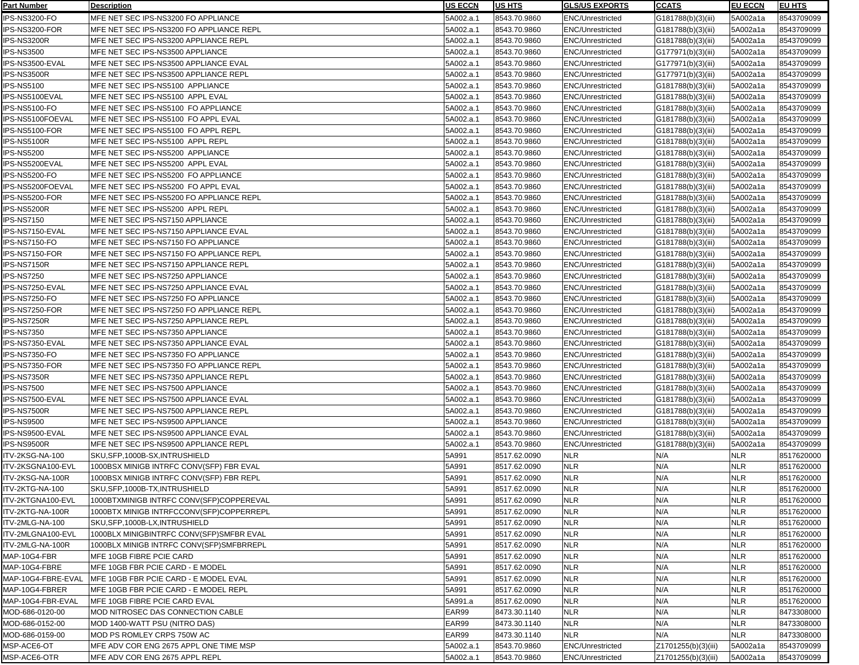| <u>Part Number</u> | <b>Description</b>                       | <b>IUS ECCN</b> | <b>US HTS</b> | <b>IGLS/US EXPORTS</b>                             | <b>CCATS</b>        | <b>EU ECCN</b> | <b>EU HTS</b> |
|--------------------|------------------------------------------|-----------------|---------------|----------------------------------------------------|---------------------|----------------|---------------|
| IPS-NS3200-FO      | MFE NET SEC IPS-NS3200 FO APPLIANCE      | 5A002.a.1       | 8543.70.9860  | <b>ENC/Unrestricted</b>                            | G181788(b)(3)(iii)  | 5A002a1a       | 8543709099    |
| IPS-NS3200-FOR     | MFE NET SEC IPS-NS3200 FO APPLIANCE REPL | 5A002.a.1       | 8543.70.9860  | <b>ENC/Unrestricted</b>                            | G181788(b)(3)(iii)  | 5A002a1a       | 8543709099    |
| IPS-NS3200R        | MFE NET SEC IPS-NS3200 APPLIANCE REPL    | 5A002.a.1       | 8543.70.9860  | <b>ENC/Unrestricted</b>                            | G181788(b)(3)(iii)  | 5A002a1a       | 8543709099    |
| <b>IPS-NS3500</b>  | MFE NET SEC IPS-NS3500 APPLIANCE         | 5A002.a.1       | 8543.70.9860  | <b>ENC/Unrestricted</b>                            | G177971(b)(3)(iii)  | 5A002a1a       | 8543709099    |
| IPS-NS3500-EVAL    | MFE NET SEC IPS-NS3500 APPLIANCE EVAL    | 5A002.a.1       | 8543.70.9860  | <b>ENC/Unrestricted</b>                            | G177971(b)(3)(iii)  | 5A002a1a       | 8543709099    |
| IPS-NS3500R        | MFE NET SEC IPS-NS3500 APPLIANCE REPL    | 5A002.a.1       | 8543.70.9860  | <b>ENC/Unrestricted</b>                            | G177971(b)(3)(iii)  | 5A002a1a       | 8543709099    |
| <b>IPS-NS5100</b>  | MFE NET SEC IPS-NS5100 APPLIANCE         | 5A002.a.1       | 8543.70.9860  | <b>ENC/Unrestricted</b>                            | G181788(b)(3)(iii)  | 5A002a1a       | 8543709099    |
| IPS-NS5100EVAL     | MFE NET SEC IPS-NS5100 APPL EVAL         | 5A002.a.1       | 8543.70.9860  | <b>ENC/Unrestricted</b>                            | G181788(b)(3)(iii)  | 5A002a1a       | 8543709099    |
| IPS-NS5100-FO      | MFE NET SEC IPS-NS5100 FO APPLIANCE      | 5A002.a.1       | 8543.70.9860  | <b>ENC/Unrestricted</b>                            | G181788(b)(3)(iii)  | 5A002a1a       | 8543709099    |
| IPS-NS5100FOEVAL   | MFE NET SEC IPS-NS5100 FO APPL EVAL      | 5A002.a.1       | 8543.70.9860  | <b>ENC/Unrestricted</b>                            | G181788(b)(3)(iii)  | 5A002a1a       | 8543709099    |
| IPS-NS5100-FOR     | MFE NET SEC IPS-NS5100 FO APPL REPL      | 5A002.a.1       | 8543.70.9860  | <b>ENC/Unrestricted</b>                            | G181788(b)(3)(iii)  | 5A002a1a       | 8543709099    |
| IPS-NS5100R        | MFE NET SEC IPS-NS5100 APPL REPL         | 5A002.a.1       | 8543.70.9860  | <b>ENC/Unrestricted</b>                            | G181788(b)(3)(iii)  | 5A002a1a       | 8543709099    |
| <b>IPS-NS5200</b>  | MFE NET SEC IPS-NS5200 APPLIANCE         | 5A002.a.1       | 8543.70.9860  | <b>ENC/Unrestricted</b>                            | G181788(b)(3)(iii)  | 5A002a1a       | 8543709099    |
| IPS-NS5200EVAL     | MFE NET SEC IPS-NS5200 APPL EVAL         | 5A002.a.1       | 8543.70.9860  | <b>ENC/Unrestricted</b>                            |                     | 5A002a1a       | 8543709099    |
| IPS-NS5200-FO      | MFE NET SEC IPS-NS5200 FO APPLIANCE      | 5A002.a.1       | 8543.70.9860  | <b>ENC/Unrestricted</b>                            | G181788(b)(3)(iii)  | 5A002a1a       | 8543709099    |
|                    |                                          |                 | 8543.70.9860  |                                                    | G181788(b)(3)(iii)  |                |               |
| IPS-NS5200FOEVAL   | MFE NET SEC IPS-NS5200 FO APPL EVAL      | 5A002.a.1       | 8543.70.9860  | <b>ENC/Unrestricted</b><br><b>ENC/Unrestricted</b> | G181788(b)(3)(iii)  | 5A002a1a       | 8543709099    |
| IPS-NS5200-FOR     | MFE NET SEC IPS-NS5200 FO APPLIANCE REPL | 5A002.a.1       |               |                                                    | G181788(b)(3)(iii)  | 5A002a1a       | 8543709099    |
| IPS-NS5200R        | MFE NET SEC IPS-NS5200 APPL REPL         | 5A002.a.1       | 8543.70.9860  | <b>ENC/Unrestricted</b>                            | G181788(b)(3)(iii)  | 5A002a1a       | 8543709099    |
| <b>IPS-NS7150</b>  | MFE NET SEC IPS-NS7150 APPLIANCE         | 5A002.a.1       | 8543.70.9860  | <b>ENC/Unrestricted</b>                            | G181788(b)(3)(iii)  | 5A002a1a       | 8543709099    |
| IPS-NS7150-EVAL    | MFE NET SEC IPS-NS7150 APPLIANCE EVAL    | 5A002.a.1       | 8543.70.9860  | <b>ENC/Unrestricted</b>                            | G181788(b)(3)(iii)  | 5A002a1a       | 8543709099    |
| IPS-NS7150-FO      | MFE NET SEC IPS-NS7150 FO APPLIANCE      | 5A002.a.1       | 8543.70.9860  | <b>ENC/Unrestricted</b>                            | G181788(b)(3)(iii)  | 5A002a1a       | 8543709099    |
| IPS-NS7150-FOR     | MFE NET SEC IPS-NS7150 FO APPLIANCE REPL | 5A002.a.1       | 8543.70.9860  | <b>ENC/Unrestricted</b>                            | G181788(b)(3)(iii)  | 5A002a1a       | 8543709099    |
| IPS-NS7150R        | MFE NET SEC IPS-NS7150 APPLIANCE REPL    | 5A002.a.1       | 8543.70.9860  | <b>ENC/Unrestricted</b>                            | G181788(b)(3)(iii)  | 5A002a1a       | 8543709099    |
| <b>IPS-NS7250</b>  | MFE NET SEC IPS-NS7250 APPLIANCE         | 5A002.a.1       | 8543.70.9860  | <b>ENC/Unrestricted</b>                            | G181788(b)(3)(iii)  | 5A002a1a       | 8543709099    |
| IPS-NS7250-EVAL    | MFE NET SEC IPS-NS7250 APPLIANCE EVAL    | 5A002.a.1       | 8543.70.9860  | <b>ENC/Unrestricted</b>                            | G181788(b)(3)(iii)  | 5A002a1a       | 8543709099    |
| IPS-NS7250-FO      | MFE NET SEC IPS-NS7250 FO APPLIANCE      | 5A002.a.1       | 8543.70.9860  | <b>ENC/Unrestricted</b>                            | G181788(b)(3)(iii)  | 5A002a1a       | 8543709099    |
| IPS-NS7250-FOR     | MFE NET SEC IPS-NS7250 FO APPLIANCE REPL | 5A002.a.1       | 8543.70.9860  | <b>ENC/Unrestricted</b>                            | G181788(b)(3)(iii)  | 5A002a1a       | 8543709099    |
| IPS-NS7250R        | MFE NET SEC IPS-NS7250 APPLIANCE REPL    | 5A002.a.1       | 8543.70.9860  | <b>ENC/Unrestricted</b>                            | G181788(b)(3)(iii)  | 5A002a1a       | 8543709099    |
| <b>IPS-NS7350</b>  | MFE NET SEC IPS-NS7350 APPLIANCE         | 5A002.a.1       | 8543.70.9860  | <b>ENC/Unrestricted</b>                            | G181788(b)(3)(iii)  | 5A002a1a       | 8543709099    |
| IPS-NS7350-EVAL    | MFE NET SEC IPS-NS7350 APPLIANCE EVAL    | 5A002.a.1       | 8543.70.9860  | <b>ENC/Unrestricted</b>                            | G181788(b)(3)(iii)  | 5A002a1a       | 8543709099    |
| IPS-NS7350-FO      | MFE NET SEC IPS-NS7350 FO APPLIANCE      | 5A002.a.1       | 8543.70.9860  | <b>ENC/Unrestricted</b>                            | G181788(b)(3)(iii)  | 5A002a1a       | 8543709099    |
| IPS-NS7350-FOR     | MFE NET SEC IPS-NS7350 FO APPLIANCE REPL | 5A002.a.1       | 8543.70.9860  | <b>ENC/Unrestricted</b>                            | G181788(b)(3)(iii)  | 5A002a1a       | 8543709099    |
| IPS-NS7350R        | MFE NET SEC IPS-NS7350 APPLIANCE REPL    | 5A002.a.1       | 8543.70.9860  | <b>ENC/Unrestricted</b>                            | G181788(b)(3)(iii)  | 5A002a1a       | 8543709099    |
| <b>IPS-NS7500</b>  | MFE NET SEC IPS-NS7500 APPLIANCE         | 5A002.a.1       | 8543.70.9860  | <b>ENC/Unrestricted</b>                            | G181788(b)(3)(iii)  | 5A002a1a       | 8543709099    |
| IPS-NS7500-EVAL    | MFE NET SEC IPS-NS7500 APPLIANCE EVAL    | 5A002.a.1       | 8543.70.9860  | <b>ENC/Unrestricted</b>                            | G181788(b)(3)(iii)  | 5A002a1a       | 8543709099    |
| IPS-NS7500R        | MFE NET SEC IPS-NS7500 APPLIANCE REPL    | 5A002.a.1       | 8543.70.9860  | <b>ENC/Unrestricted</b>                            | G181788(b)(3)(iii)  | 5A002a1a       | 8543709099    |
| <b>IPS-NS9500</b>  | MFE NET SEC IPS-NS9500 APPLIANCE         | 5A002.a.1       | 8543.70.9860  | <b>ENC/Unrestricted</b>                            | G181788(b)(3)(iii)  | 5A002a1a       | 8543709099    |
| IPS-NS9500-EVAL    | MFE NET SEC IPS-NS9500 APPLIANCE EVAL    | 5A002.a.1       | 8543.70.9860  | <b>ENC/Unrestricted</b>                            | G181788(b)(3)(iii)  | 5A002a1a       | 8543709099    |
| IPS-NS9500R        | MFE NET SEC IPS-NS9500 APPLIANCE REPL    | 5A002.a.1       | 8543.70.9860  | <b>ENC/Unrestricted</b>                            | G181788(b)(3)(iii)  | 5A002a1a       | 8543709099    |
| ITV-2KSG-NA-100    | SKU, SFP, 1000B-SX, INTRUSHIELD          | 5A991           | 8517.62.0090  | <b>NLR</b>                                         | N/A                 | <b>NLR</b>     | 8517620000    |
| ITV-2KSGNA100-EVL  | 1000BSX MINIGB INTRFC CONV(SFP) FBR EVAL | 5A991           | 8517.62.0090  | <b>NLR</b>                                         | N/A                 | <b>NLR</b>     | 8517620000    |
| ITV-2KSG-NA-100R   | 1000BSX MINIGB INTRFC CONV(SFP) FBR REPL | 5A991           | 8517.62.0090  | <b>NLR</b>                                         | N/A                 | <b>NLR</b>     | 8517620000    |
| ITV-2KTG-NA-100    | SKU, SFP, 1000B-TX, INTRUSHIELD          | 5A991           | 8517.62.0090  | <b>NLR</b>                                         | N/A                 | <b>NLR</b>     | 8517620000    |
| ITV-2KTGNA100-EVL  | 1000BTXMINIGB INTRFC CONV(SFP)COPPEREVAL | 5A991           | 8517.62.0090  | <b>NLR</b>                                         | N/A                 | <b>NLR</b>     | 8517620000    |
| ITV-2KTG-NA-100R   | 1000BTX MINIGB INTRFCCONV(SFP)COPPERREPL | 5A991           | 8517.62.0090  | <b>NLR</b>                                         | N/A                 | <b>NLR</b>     | 8517620000    |
| ITV-2MLG-NA-100    | SKU, SFP, 1000B-LX, INTRUSHIELD          | 5A991           | 8517.62.0090  | <b>NLR</b>                                         | N/A                 | <b>NLR</b>     | 8517620000    |
| ITV-2MLGNA100-EVL  | 1000BLX MINIGBINTRFC CONV(SFP)SMFBR EVAL | 5A991           | 8517.62.0090  | <b>NLR</b>                                         | N/A                 | <b>NLR</b>     | 8517620000    |
| ITV-2MLG-NA-100R   | 1000BLX MINIGB INTRFC CONV(SFP)SMFBRREPL | 5A991           | 8517.62.0090  | <b>NLR</b>                                         | N/A                 | <b>NLR</b>     | 8517620000    |
| MAP-10G4-FBR       | MFE 10GB FIBRE PCIE CARD                 | 5A991           | 8517.62.0090  | <b>NLR</b>                                         | N/A                 | <b>NLR</b>     | 8517620000    |
| MAP-10G4-FBRE      | MFE 10GB FBR PCIE CARD - E MODEL         | 5A991           | 8517.62.0090  | <b>NLR</b>                                         | N/A                 | <b>NLR</b>     | 8517620000    |
| MAP-10G4-FBRE-EVAL | MFE 10GB FBR PCIE CARD - E MODEL EVAL    | 5A991           | 8517.62.0090  | <b>NLR</b>                                         | N/A                 | <b>NLR</b>     | 8517620000    |
| MAP-10G4-FBRER     | MFE 10GB FBR PCIE CARD - E MODEL REPL    | 5A991           | 8517.62.0090  | <b>NLR</b>                                         | N/A                 | <b>NLR</b>     | 8517620000    |
| MAP-10G4-FBR-EVAL  | MFE 10GB FIBRE PCIE CARD EVAL            | 5A991.a         | 8517.62.0090  | <b>NLR</b>                                         | N/A                 | <b>NLR</b>     | 8517620000    |
| MOD-686-0120-00    | MOD NITROSEC DAS CONNECTION CABLE        | EAR99           | 8473.30.1140  | <b>NLR</b>                                         | N/A                 | <b>NLR</b>     | 8473308000    |
| MOD-686-0152-00    | MOD 1400-WATT PSU (NITRO DAS)            | EAR99           | 8473.30.1140  | <b>NLR</b>                                         | N/A                 | <b>NLR</b>     | 8473308000    |
| MOD-686-0159-00    | MOD PS ROMLEY CRPS 750W AC               | EAR99           | 8473.30.1140  | <b>NLR</b>                                         | N/A                 | <b>NLR</b>     | 8473308000    |
| MSP-ACE6-OT        | MFE ADV COR ENG 2675 APPL ONE TIME MSP   | 5A002.a.1       | 8543.70.9860  | <b>ENC/Unrestricted</b>                            | Z1701255(b)(3)(iii) | 5A002a1a       | 8543709099    |
| MSP-ACE6-OTR       | MFE ADV COR ENG 2675 APPL REPL           | 5A002.a.1       | 8543.70.9860  | <b>ENC/Unrestricted</b>                            | Z1701255(b)(3)(iii) | 5A002a1a       | 8543709099    |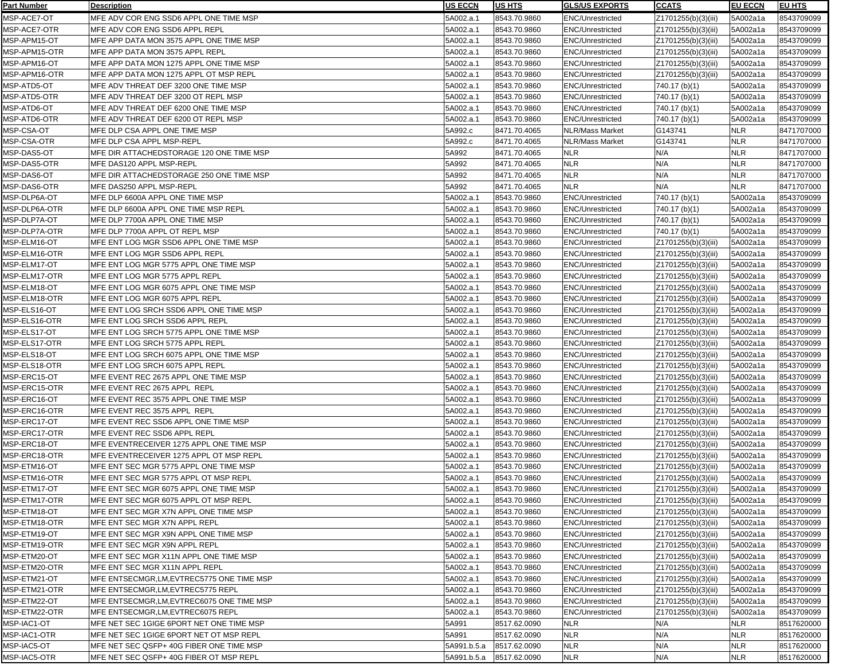| Part Number   | <b>Description</b>                         | <b>IUS ECCN</b>          | <b>IUS HTS</b> | <b>GLS/US EXPORTS</b>   | <b>CCATS</b>        | <b>EU ECCN</b> | <b>EU HTS</b> |
|---------------|--------------------------------------------|--------------------------|----------------|-------------------------|---------------------|----------------|---------------|
| MSP-ACE7-OT   | MFE ADV COR ENG SSD6 APPL ONE TIME MSP     | 5A002.a.1                | 8543.70.9860   | <b>ENC/Unrestricted</b> | Z1701255(b)(3)(iii) | 5A002a1a       | 8543709099    |
| MSP-ACE7-OTR  | MFE ADV COR ENG SSD6 APPL REPL             | 5A002.a.1                | 8543.70.9860   | <b>ENC/Unrestricted</b> | Z1701255(b)(3)(iii) | 5A002a1a       | 8543709099    |
| MSP-APM15-OT  | MFE APP DATA MON 3575 APPL ONE TIME MSP    | 5A002.a.1                | 8543.70.9860   | <b>ENC/Unrestricted</b> | Z1701255(b)(3)(iii) | 5A002a1a       | 8543709099    |
| MSP-APM15-OTR | MFE APP DATA MON 3575 APPL REPL            | 5A002.a.1                | 8543.70.9860   | <b>ENC/Unrestricted</b> | Z1701255(b)(3)(iii) | 5A002a1a       | 8543709099    |
| MSP-APM16-OT  | MFE APP DATA MON 1275 APPL ONE TIME MSP    | 5A002.a.1                | 8543.70.9860   | <b>ENC/Unrestricted</b> | Z1701255(b)(3)(iii) | 5A002a1a       | 8543709099    |
| MSP-APM16-OTR | MFE APP DATA MON 1275 APPL OT MSP REPL     | 5A002.a.1                | 8543.70.9860   | <b>ENC/Unrestricted</b> | Z1701255(b)(3)(iii) | 5A002a1a       | 8543709099    |
| MSP-ATD5-OT   | MFE ADV THREAT DEF 3200 ONE TIME MSP       | 5A002.a.1                | 8543.70.9860   | <b>ENC/Unrestricted</b> | $740.17$ (b)(1)     | 5A002a1a       | 8543709099    |
| MSP-ATD5-OTR  | MFE ADV THREAT DEF 3200 OT REPL MSP        | 5A002.a.1                | 8543.70.9860   | <b>ENC/Unrestricted</b> | 740.17 (b)(1)       | 5A002a1a       | 8543709099    |
| MSP-ATD6-OT   | MFE ADV THREAT DEF 6200 ONE TIME MSP       | 5A002.a.1                | 8543.70.9860   | <b>ENC/Unrestricted</b> | 740.17 (b)(1)       | 5A002a1a       | 8543709099    |
| MSP-ATD6-OTR  | MFE ADV THREAT DEF 6200 OT REPL MSP        | 5A002.a.1                | 8543.70.9860   | <b>ENC/Unrestricted</b> | 740.17 (b)(1)       | 5A002a1a       | 8543709099    |
| MSP-CSA-OT    | MFE DLP CSA APPL ONE TIME MSP              | 5A992.c                  | 8471.70.4065   | NLR/Mass Market         | G143741             | <b>NLR</b>     | 8471707000    |
| MSP-CSA-OTR   | MFE DLP CSA APPL MSP-REPL                  | 5A992.c                  | 8471.70.4065   | NLR/Mass Market         | G143741             | <b>NLR</b>     | 8471707000    |
| MSP-DAS5-OT   | MFE DIR ATTACHEDSTORAGE 120 ONE TIME MSP   | 5A992                    | 8471.70.4065   | <b>NLR</b>              | N/A                 | <b>NLR</b>     | 8471707000    |
| MSP-DAS5-OTR  | MFE DAS120 APPL MSP-REPL                   | 5A992                    | 8471.70.4065   | <b>NLR</b>              | N/A                 | <b>NLR</b>     | 8471707000    |
| MSP-DAS6-OT   | MFE DIR ATTACHEDSTORAGE 250 ONE TIME MSP   | 5A992                    | 8471.70.4065   | <b>NLR</b>              | N/A                 | <b>NLR</b>     | 8471707000    |
|               |                                            |                          |                | <b>NLR</b>              | N/A                 |                |               |
| MSP-DAS6-OTR  | MFE DAS250 APPL MSP-REPL                   | 5A992                    | 8471.70.4065   |                         |                     | <b>NLR</b>     | 8471707000    |
| MSP-DLP6A-OT  | MFE DLP 6600A APPL ONE TIME MSP            | 5A002.a.1                | 8543.70.9860   | <b>ENC/Unrestricted</b> | 740.17 (b)(1)       | 5A002a1a       | 8543709099    |
| MSP-DLP6A-OTR | MFE DLP 6600A APPL ONE TIME MSP REPL       | 5A002.a.1                | 8543.70.9860   | <b>ENC/Unrestricted</b> | 740.17 (b)(1)       | 5A002a1a       | 8543709099    |
| MSP-DLP7A-OT  | MFE DLP 7700A APPL ONE TIME MSP            | 5A002.a.1                | 8543.70.9860   | <b>ENC/Unrestricted</b> | 740.17 (b)(1)       | 5A002a1a       | 8543709099    |
| MSP-DLP7A-OTR | MFE DLP 7700A APPL OT REPL MSP             | 5A002.a.1                | 8543.70.9860   | <b>ENC/Unrestricted</b> | $740.17$ (b)(1)     | 5A002a1a       | 8543709099    |
| MSP-ELM16-OT  | MFE ENT LOG MGR SSD6 APPL ONE TIME MSP     | 5A002.a.1                | 8543.70.9860   | <b>ENC/Unrestricted</b> | Z1701255(b)(3)(iii) | 5A002a1a       | 8543709099    |
| MSP-ELM16-OTR | MFE ENT LOG MGR SSD6 APPL REPL             | 5A002.a.1                | 8543.70.9860   | <b>ENC/Unrestricted</b> | Z1701255(b)(3)(iii) | 5A002a1a       | 8543709099    |
| MSP-ELM17-OT  | MFE ENT LOG MGR 5775 APPL ONE TIME MSP     | 5A002.a.1                | 8543.70.9860   | <b>ENC/Unrestricted</b> | Z1701255(b)(3)(iii) | 5A002a1a       | 8543709099    |
| MSP-ELM17-OTR | MFE ENT LOG MGR 5775 APPL REPL             | 5A002.a.1                | 8543.70.9860   | <b>ENC/Unrestricted</b> | Z1701255(b)(3)(iii) | 5A002a1a       | 8543709099    |
| MSP-ELM18-OT  | MFE ENT LOG MGR 6075 APPL ONE TIME MSP     | 5A002.a.1                | 8543.70.9860   | <b>ENC/Unrestricted</b> | Z1701255(b)(3)(iii) | 5A002a1a       | 8543709099    |
| MSP-ELM18-OTR | MFE ENT LOG MGR 6075 APPL REPL             | 5A002.a.1                | 8543.70.9860   | <b>ENC/Unrestricted</b> | Z1701255(b)(3)(iii) | 5A002a1a       | 8543709099    |
| MSP-ELS16-OT  | MFE ENT LOG SRCH SSD6 APPL ONE TIME MSP    | 5A002.a.1                | 8543.70.9860   | ENC/Unrestricted        | Z1701255(b)(3)(iii) | 5A002a1a       | 8543709099    |
| MSP-ELS16-OTR | MFE ENT LOG SRCH SSD6 APPL REPL            | 5A002.a.1                | 8543.70.9860   | ENC/Unrestricted        | Z1701255(b)(3)(iii) | 5A002a1a       | 8543709099    |
| MSP-ELS17-OT  | MFE ENT LOG SRCH 5775 APPL ONE TIME MSP    | 5A002.a.1                | 8543.70.9860   | ENC/Unrestricted        | Z1701255(b)(3)(iii) | 5A002a1a       | 8543709099    |
| MSP-ELS17-OTR | MFE ENT LOG SRCH 5775 APPL REPL            | 5A002.a.1                | 8543.70.9860   | <b>ENC/Unrestricted</b> | Z1701255(b)(3)(iii) | 5A002a1a       | 8543709099    |
| MSP-ELS18-OT  | MFE ENT LOG SRCH 6075 APPL ONE TIME MSP    | 5A002.a.1                | 8543.70.9860   | <b>ENC/Unrestricted</b> | Z1701255(b)(3)(iii) | 5A002a1a       | 8543709099    |
| MSP-ELS18-OTR | MFE ENT LOG SRCH 6075 APPL REPL            | 5A002.a.1                | 8543.70.9860   | <b>ENC/Unrestricted</b> | Z1701255(b)(3)(iii) | 5A002a1a       | 8543709099    |
| MSP-ERC15-OT  | MFE EVENT REC 2675 APPL ONE TIME MSP       | 5A002.a.1                | 8543.70.9860   | <b>ENC/Unrestricted</b> | Z1701255(b)(3)(iii) | 5A002a1a       | 8543709099    |
| MSP-ERC15-OTR | MFE EVENT REC 2675 APPL REPL               | 5A002.a.1                | 8543.70.9860   | <b>ENC/Unrestricted</b> | Z1701255(b)(3)(iii) | 5A002a1a       | 8543709099    |
| MSP-ERC16-OT  | MFE EVENT REC 3575 APPL ONE TIME MSP       | 5A002.a.1                | 8543.70.9860   | <b>ENC/Unrestricted</b> | Z1701255(b)(3)(iii) | 5A002a1a       | 8543709099    |
| MSP-ERC16-OTR | MFE EVENT REC 3575 APPL REPL               | 5A002.a.1                | 8543.70.9860   | <b>ENC/Unrestricted</b> | Z1701255(b)(3)(iii) | 5A002a1a       | 8543709099    |
| MSP-ERC17-OT  | MFE EVENT REC SSD6 APPL ONE TIME MSP       | 5A002.a.1                | 8543.70.9860   | <b>ENC/Unrestricted</b> | Z1701255(b)(3)(iii) | 5A002a1a       | 8543709099    |
| MSP-ERC17-OTR | MFE EVENT REC SSD6 APPL REPL               | 5A002.a.1                | 8543.70.9860   | <b>ENC/Unrestricted</b> | Z1701255(b)(3)(iii) | 5A002a1a       | 8543709099    |
| MSP-ERC18-OT  | MFE EVENTRECEIVER 1275 APPL ONE TIME MSP   | 5A002.a.1                | 8543.70.9860   | <b>ENC/Unrestricted</b> | Z1701255(b)(3)(iii) | 5A002a1a       | 8543709099    |
| MSP-ERC18-OTR | MFE EVENTRECEIVER 1275 APPL OT MSP REPL    | 5A002.a.1                | 8543.70.9860   | <b>ENC/Unrestricted</b> | Z1701255(b)(3)(iii) | 5A002a1a       | 8543709099    |
| MSP-ETM16-OT  | MFE ENT SEC MGR 5775 APPL ONE TIME MSP     | 5A002.a.1                | 8543.70.9860   | <b>ENC/Unrestricted</b> | Z1701255(b)(3)(iii) | 5A002a1a       | 8543709099    |
| MSP-ETM16-OTR | MFE ENT SEC MGR 5775 APPL OT MSP REPL      | 5A002.a.1                | 8543.70.9860   | <b>ENC/Unrestricted</b> | Z1701255(b)(3)(iii) | 5A002a1a       | 8543709099    |
| MSP-ETM17-OT  | MFE ENT SEC MGR 6075 APPL ONE TIME MSP     | 5A002.a.1                | 8543.70.9860   | <b>ENC/Unrestricted</b> | Z1701255(b)(3)(iii) | 5A002a1a       | 8543709099    |
| MSP-ETM17-OTR | MFE ENT SEC MGR 6075 APPL OT MSP REPL      | 5A002.a.1                | 8543.70.9860   | <b>ENC/Unrestricted</b> | Z1701255(b)(3)(iii) | 5A002a1a       | 8543709099    |
| MSP-ETM18-OT  | MFE ENT SEC MGR X7N APPL ONE TIME MSP      | 5A002.a.1                | 8543.70.9860   | <b>ENC/Unrestricted</b> | Z1701255(b)(3)(iii) | 5A002a1a       | 8543709099    |
| MSP-ETM18-OTR | MFE ENT SEC MGR X7N APPL REPL              | 5A002.a.1                | 8543.70.9860   | <b>ENC/Unrestricted</b> | Z1701255(b)(3)(iii) | 5A002a1a       | 8543709099    |
| MSP-ETM19-OT  | MFE ENT SEC MGR X9N APPL ONE TIME MSP      | 5A002.a.1                | 8543.70.9860   | <b>ENC/Unrestricted</b> | Z1701255(b)(3)(iii) | 5A002a1a       | 8543709099    |
| MSP-ETM19-OTR | MFE ENT SEC MGR X9N APPL REPL              | 5A002.a.1                | 8543.70.9860   | <b>ENC/Unrestricted</b> | Z1701255(b)(3)(iii) | 5A002a1a       | 8543709099    |
| MSP-ETM20-OT  | MFE ENT SEC MGR X11N APPL ONE TIME MSP     | 5A002.a.1                | 8543.70.9860   | <b>ENC/Unrestricted</b> | Z1701255(b)(3)(iii) | 5A002a1a       | 8543709099    |
| MSP-ETM20-OTR | MFE ENT SEC MGR X11N APPL REPL             | 5A002.a.1                | 8543.70.9860   | <b>ENC/Unrestricted</b> | Z1701255(b)(3)(iii) | 5A002a1a       | 8543709099    |
| MSP-ETM21-OT  | MFE ENTSECMGR, LM, EVTREC5775 ONE TIME MSP | 5A002.a.1                | 8543.70.9860   | <b>ENC/Unrestricted</b> | Z1701255(b)(3)(iii) | 5A002a1a       | 8543709099    |
| MSP-ETM21-OTR | MFE ENTSECMGR,LM,EVTREC5775 REPL           | 5A002.a.1                | 8543.70.9860   | <b>ENC/Unrestricted</b> | Z1701255(b)(3)(iii) | 5A002a1a       | 8543709099    |
| MSP-ETM22-OT  | MFE ENTSECMGR, LM, EVTREC6075 ONE TIME MSP | 5A002.a.1                | 8543.70.9860   | <b>ENC/Unrestricted</b> | Z1701255(b)(3)(iii) | 5A002a1a       | 8543709099    |
| MSP-ETM22-OTR | MFE ENTSECMGR, LM, EVTREC6075 REPL         | 5A002.a.1                | 8543.70.9860   | <b>ENC/Unrestricted</b> | Z1701255(b)(3)(iii) | 5A002a1a       | 8543709099    |
| MSP-IAC1-OT   | MFE NET SEC 1GIGE 6PORT NET ONE TIME MSP   | 5A991                    | 8517.62.0090   | <b>NLR</b>              | N/A                 | <b>NLR</b>     | 8517620000    |
| MSP-IAC1-OTR  | MFE NET SEC 1GIGE 6PORT NET OT MSP REPL    | 5A991                    | 8517.62.0090   | <b>NLR</b>              | N/A                 | <b>NLR</b>     | 8517620000    |
| MSP-IAC5-OT   | MFE NET SEC QSFP+ 40G FIBER ONE TIME MSP   | 5A991.b.5.a              | 8517.62.0090   | <b>NLR</b>              | N/A                 | <b>NLR</b>     | 8517620000    |
| MSP-IAC5-OTR  | MFE NET SEC QSFP+ 40G FIBER OT MSP REPL    | 5A991.b.5.a 8517.62.0090 |                | <b>NLR</b>              | N/A                 | <b>NLR</b>     | 8517620000    |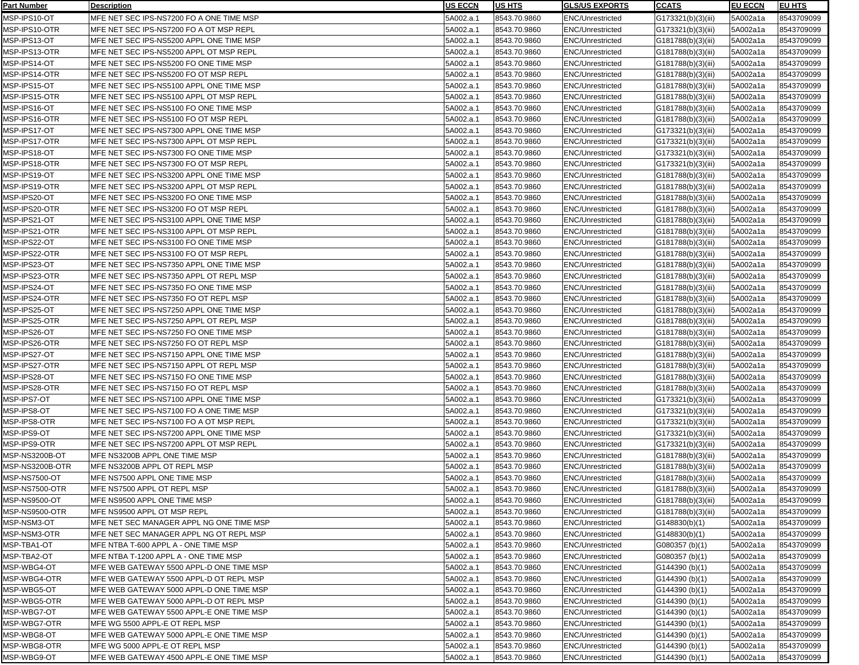| <b>Part Number</b>          | <b>Description</b>                                                         | <b>US ECCN</b>         | <b>US HTS</b>                | <b>GLS/US EXPORTS</b>                              | <b>CCATS</b>                     | <b>EU ECCN</b>       | <b>EU HTS</b>            |
|-----------------------------|----------------------------------------------------------------------------|------------------------|------------------------------|----------------------------------------------------|----------------------------------|----------------------|--------------------------|
| MSP-IPS10-OT                | IMFE NET SEC IPS-NS7200 FO A ONE TIME MSP                                  | 5A002.a.1              | 8543.70.9860                 | <b>ENC/Unrestricted</b>                            | G173321(b)(3)(iii)               | 5A002a1a             | 8543709099               |
| MSP-IPS10-OTR               | IMFE NET SEC IPS-NS7200 FO A OT MSP REPL                                   | 5A002.a.1              | 8543.70.9860                 | <b>ENC/Unrestricted</b>                            | G173321(b)(3)(iii)               | 5A002a1a             | 8543709099               |
| MSP-IPS13-OT                | MFE NET SEC IPS-NS5200 APPL ONE TIME MSP                                   | 5A002.a.1              | 8543.70.9860                 | <b>ENC/Unrestricted</b>                            | G181788(b)(3)(iii)               | 5A002a1a             | 8543709099               |
| MSP-IPS13-OTR               | MFE NET SEC IPS-NS5200 APPL OT MSP REPL                                    | 5A002.a.1              | 8543.70.9860                 | <b>ENC/Unrestricted</b>                            | G181788(b)(3)(iii)               | 5A002a1a             | 8543709099               |
| MSP-IPS14-OT                | MFE NET SEC IPS-NS5200 FO ONE TIME MSP                                     | 5A002.a.1              | 8543.70.9860                 | <b>ENC/Unrestricted</b>                            | G181788(b)(3)(iii)               | 5A002a1a             | 8543709099               |
| MSP-IPS14-OTR               | MFE NET SEC IPS-NS5200 FO OT MSP REPL                                      | 5A002.a.1              | 8543.70.9860                 | <b>ENC/Unrestricted</b>                            | G181788(b)(3)(iii)               | 5A002a1a             | 8543709099               |
| MSP-IPS15-OT                | MFE NET SEC IPS-NS5100 APPL ONE TIME MSP                                   | 5A002.a.1              | 8543.70.9860                 | <b>ENC/Unrestricted</b>                            | G181788(b)(3)(iii)               | 5A002a1a             | 8543709099               |
| MSP-IPS15-OTR               | MFE NET SEC IPS-NS5100 APPL OT MSP REPL                                    | 5A002.a.1              | 8543.70.9860                 | <b>ENC/Unrestricted</b>                            | G181788(b)(3)(iii)               | 5A002a1a             | 8543709099               |
| MSP-IPS16-OT                | MFE NET SEC IPS-NS5100 FO ONE TIME MSP                                     | 5A002.a.1              | 8543.70.9860                 | <b>ENC/Unrestricted</b>                            | G181788(b)(3)(iii)               | 5A002a1a             | 8543709099               |
| MSP-IPS16-OTR               | MFE NET SEC IPS-NS5100 FO OT MSP REPL                                      | 5A002.a.1              | 8543.70.9860                 | <b>ENC/Unrestricted</b>                            | G181788(b)(3)(iii)               | 5A002a1a             | 8543709099               |
| MSP-IPS17-OT                | MFE NET SEC IPS-NS7300 APPL ONE TIME MSP                                   | 5A002.a.1              | 8543.70.9860                 | <b>ENC/Unrestricted</b>                            | G173321(b)(3)(iii)               | 5A002a1a             | 8543709099               |
| MSP-IPS17-OTR               | MFE NET SEC IPS-NS7300 APPL OT MSP REPL                                    | 5A002.a.1              | 8543.70.9860                 | <b>ENC/Unrestricted</b>                            | G173321(b)(3)(iii)               | 5A002a1a             | 8543709099               |
| MSP-IPS18-OT                | MFE NET SEC IPS-NS7300 FO ONE TIME MSP                                     | 5A002.a.1              | 8543.70.9860                 | <b>ENC/Unrestricted</b>                            | G173321(b)(3)(iii)               | 5A002a1a             | 8543709099               |
| MSP-IPS18-OTR               | MFE NET SEC IPS-NS7300 FO OT MSP REPL                                      | 5A002.a.1              | 8543.70.9860                 | <b>ENC/Unrestricted</b>                            |                                  | 5A002a1a             | 8543709099               |
| MSP-IPS19-OT                | MFE NET SEC IPS-NS3200 APPL ONE TIME MSP                                   | 5A002.a.1              | 8543.70.9860                 | <b>ENC/Unrestricted</b>                            | G173321(b)(3)(iii)               | 5A002a1a             | 8543709099               |
| MSP-IPS19-OTR               | MFE NET SEC IPS-NS3200 APPL OT MSP REPL                                    | 5A002.a.1              | 8543.70.9860                 | <b>ENC/Unrestricted</b>                            | G181788(b)(3)(iii)               | 5A002a1a             | 8543709099               |
|                             |                                                                            |                        |                              |                                                    | G181788(b)(3)(iii)               |                      |                          |
| MSP-IPS20-OT                | MFE NET SEC IPS-NS3200 FO ONE TIME MSP                                     | 5A002.a.1              | 8543.70.9860                 | <b>ENC/Unrestricted</b>                            | G181788(b)(3)(iii)               | 5A002a1a             | 8543709099               |
| MSP-IPS20-OTR               | MFE NET SEC IPS-NS3200 FO OT MSP REPL                                      | 5A002.a.1              | 8543.70.9860                 | <b>ENC/Unrestricted</b>                            | G181788(b)(3)(iii)               | 5A002a1a             | 8543709099               |
| MSP-IPS21-OT                | MFE NET SEC IPS-NS3100 APPL ONE TIME MSP                                   | 5A002.a.1              | 8543.70.9860                 | <b>ENC/Unrestricted</b>                            | G181788(b)(3)(iii)               | 5A002a1a             | 8543709099               |
| MSP-IPS21-OTR               | MFE NET SEC IPS-NS3100 APPL OT MSP REPL                                    | 5A002.a.1              | 8543.70.9860                 | <b>ENC/Unrestricted</b>                            | G181788(b)(3)(iii)               | 5A002a1a             | 8543709099               |
| MSP-IPS22-OT                | MFE NET SEC IPS-NS3100 FO ONE TIME MSP                                     | 5A002.a.1              | 8543.70.9860                 | <b>ENC/Unrestricted</b>                            | G181788(b)(3)(iii)               | 5A002a1a             | 8543709099               |
| MSP-IPS22-OTR               | MFE NET SEC IPS-NS3100 FO OT MSP REPL                                      | 5A002.a.1              | 8543.70.9860                 | <b>ENC/Unrestricted</b>                            | G181788(b)(3)(iii)               | 5A002a1a             | 8543709099               |
| MSP-IPS23-OT                | MFE NET SEC IPS-NS7350 APPL ONE TIME MSP                                   | 5A002.a.1              | 8543.70.9860                 | <b>ENC/Unrestricted</b>                            | G181788(b)(3)(iii)               | 5A002a1a             | 8543709099               |
| MSP-IPS23-OTR               | MFE NET SEC IPS-NS7350 APPL OT REPL MSP                                    | 5A002.a.1              | 8543.70.9860                 | <b>ENC/Unrestricted</b>                            | G181788(b)(3)(iii)               | 5A002a1a             | 8543709099               |
| MSP-IPS24-OT                | MFE NET SEC IPS-NS7350 FO ONE TIME MSP                                     | 5A002.a.1              | 8543.70.9860                 | <b>ENC/Unrestricted</b>                            | G181788(b)(3)(iii)               | 5A002a1a             | 8543709099               |
| MSP-IPS24-OTR               | MFE NET SEC IPS-NS7350 FO OT REPL MSP                                      | 5A002.a.1              | 8543.70.9860                 | <b>ENC/Unrestricted</b>                            | G181788(b)(3)(iii)               | 5A002a1a             | 8543709099               |
| MSP-IPS25-OT                | MFE NET SEC IPS-NS7250 APPL ONE TIME MSP                                   | 5A002.a.1              | 8543.70.9860                 | <b>ENC/Unrestricted</b>                            | G181788(b)(3)(iii)               | 5A002a1a             | 8543709099               |
| MSP-IPS25-OTR               | MFE NET SEC IPS-NS7250 APPL OT REPL MSP                                    | 5A002.a.1              | 8543.70.9860                 | <b>ENC/Unrestricted</b>                            | G181788(b)(3)(iii)               | 5A002a1a             | 8543709099               |
| MSP-IPS26-OT                | MFE NET SEC IPS-NS7250 FO ONE TIME MSP                                     | 5A002.a.1              | 8543.70.9860                 | ENC/Unrestricted                                   | G181788(b)(3)(iii)               | 5A002a1a             | 8543709099               |
| MSP-IPS26-OTR               | MFE NET SEC IPS-NS7250 FO OT REPL MSP                                      | 5A002.a.1              | 8543.70.9860                 | <b>ENC/Unrestricted</b>                            | G181788(b)(3)(iii)               | 5A002a1a             | 8543709099               |
| MSP-IPS27-OT                | MFE NET SEC IPS-NS7150 APPL ONE TIME MSP                                   | 5A002.a.1              | 8543.70.9860                 | <b>ENC/Unrestricted</b>                            | G181788(b)(3)(iii)               | 5A002a1a             | 8543709099               |
| MSP-IPS27-OTR               | MFE NET SEC IPS-NS7150 APPL OT REPL MSP                                    | 5A002.a.1              | 8543.70.9860                 | <b>ENC/Unrestricted</b>                            | G181788(b)(3)(iii)               | 5A002a1a             | 8543709099               |
| MSP-IPS28-OT                | MFE NET SEC IPS-NS7150 FO ONE TIME MSP                                     | 5A002.a.1              | 8543.70.9860                 | <b>ENC/Unrestricted</b>                            | G181788(b)(3)(iii)               | 5A002a1a             | 8543709099               |
| MSP-IPS28-OTR               | MFE NET SEC IPS-NS7150 FO OT REPL MSP                                      | 5A002.a.1              | 8543.70.9860                 | <b>ENC/Unrestricted</b>                            | G181788(b)(3)(iii)               | 5A002a1a             | 8543709099               |
| MSP-IPS7-OT                 | MFE NET SEC IPS-NS7100 APPL ONE TIME MSP                                   | 5A002.a.1              | 8543.70.9860                 | <b>ENC/Unrestricted</b>                            | G173321(b)(3)(iii)               | 5A002a1a             | 8543709099               |
| MSP-IPS8-OT                 | MFE NET SEC IPS-NS7100 FO A ONE TIME MSP                                   | 5A002.a.1              | 8543.70.9860                 | <b>ENC/Unrestricted</b>                            | G173321(b)(3)(iii)               | 5A002a1a             | 8543709099               |
| MSP-IPS8-OTR                | MFE NET SEC IPS-NS7100 FO A OT MSP REPL                                    | 5A002.a.1              | 8543.70.9860                 | ENC/Unrestricted                                   | G173321(b)(3)(iii)               | 5A002a1a             | 8543709099               |
| MSP-IPS9-OT                 | MFE NET SEC IPS-NS7200 APPL ONE TIME MSP                                   | 5A002.a.1              | 8543.70.9860                 | <b>ENC/Unrestricted</b>                            | G173321(b)(3)(iii)               | 5A002a1a             | 8543709099               |
| MSP-IPS9-OTR                | IMFE NET SEC IPS-NS7200 APPL OT MSP REPL                                   | 5A002.a.1              | 8543.70.9860                 | <b>ENC/Unrestricted</b>                            | G173321(b)(3)(iii)               | 5A002a1a             | 8543709099               |
| MSP-NS3200B-OT              | MFE NS3200B APPL ONE TIME MSP                                              | 5A002.a.1              | 8543.70.9860                 | <b>ENC/Unrestricted</b>                            | G181788(b)(3)(iii)               | 5A002a1a             | 8543709099               |
| MSP-NS3200B-OTR             | MFE NS3200B APPL OT REPL MSP                                               | 5A002.a.1              | 8543.70.9860                 | <b>ENC/Unrestricted</b>                            | G181788(b)(3)(iii)               | 5A002a1a             | 8543709099               |
| MSP-NS7500-OT               | MFE NS7500 APPL ONE TIME MSP                                               | 5A002.a.1              | 8543.70.9860                 | <b>ENC/Unrestricted</b>                            | G181788(b)(3)(iii)               | 5A002a1a             | 8543709099               |
| MSP-NS7500-OTR              | MFE NS7500 APPL OT REPL MSP                                                | 5A002.a.1              | 8543.70.9860                 | <b>ENC/Unrestricted</b>                            | G181788(b)(3)(iii)               | 5A002a1a             | 8543709099               |
| MSP-NS9500-OT               | MFE NS9500 APPL ONE TIME MSP                                               | 5A002.a.1              | 8543.70.9860                 | <b>ENC/Unrestricted</b>                            | G181788(b)(3)(iii)               | 5A002a1a             | 8543709099               |
| MSP-NS9500-OTR              | MFE NS9500 APPL OT MSP REPL                                                | 5A002.a.1              | 8543.70.9860                 | <b>ENC/Unrestricted</b>                            | G181788(b)(3)(iii)               | 5A002a1a             | 8543709099               |
| MSP-NSM3-OT                 | MFE NET SEC MANAGER APPL NG ONE TIME MSP                                   | 5A002.a.1              | 8543.70.9860                 | <b>ENC/Unrestricted</b>                            | G148830(b)(1)                    | 5A002a1a             | 8543709099               |
| MSP-NSM3-OTR                | MFE NET SEC MANAGER APPL NG OT REPL MSP                                    | 5A002.a.1              | 8543.70.9860                 | <b>ENC/Unrestricted</b>                            | G148830(b)(1)                    | 5A002a1a             | 8543709099               |
| MSP-TBA1-OT                 | MFE NTBA T-600 APPL A - ONE TIME MSP                                       | 5A002.a.1              | 8543.70.9860                 | <b>ENC/Unrestricted</b>                            | G080357 (b)(1)                   | 5A002a1a             | 8543709099               |
| MSP-TBA2-OT                 | MFE NTBA T-1200 APPL A - ONE TIME MSP                                      | 5A002.a.1              | 8543.70.9860                 | <b>ENC/Unrestricted</b>                            | G080357 (b)(1)                   | 5A002a1a             | 8543709099               |
| MSP-WBG4-OT                 | MFE WEB GATEWAY 5500 APPL-D ONE TIME MSP                                   | 5A002.a.1              | 8543.70.9860                 | <b>ENC/Unrestricted</b>                            | G144390 (b)(1)                   | 5A002a1a             | 8543709099               |
| MSP-WBG4-OTR                | MFE WEB GATEWAY 5500 APPL-D OT REPL MSP                                    | 5A002.a.1              | 8543.70.9860                 | <b>ENC/Unrestricted</b>                            | G144390 (b)(1)                   | 5A002a1a             | 8543709099               |
| MSP-WBG5-OT                 | MFE WEB GATEWAY 5000 APPL-D ONE TIME MSP                                   | 5A002.a.1              | 8543.70.9860                 | <b>ENC/Unrestricted</b>                            | G144390 (b)(1)                   | 5A002a1a             | 8543709099               |
| MSP-WBG5-OTR                | MFE WEB GATEWAY 5000 APPL-D OT REPL MSP                                    | 5A002.a.1              | 8543.70.9860                 | <b>ENC/Unrestricted</b>                            | G144390 (b)(1)                   | 5A002a1a             | 8543709099               |
| MSP-WBG7-OT                 | MFE WEB GATEWAY 5500 APPL-E ONE TIME MSP                                   | 5A002.a.1              | 8543.70.9860                 | <b>ENC/Unrestricted</b>                            | G144390 (b)(1)                   | 5A002a1a             | 8543709099               |
| MSP-WBG7-OTR<br>MSP-WBG8-OT | MFE WG 5500 APPL-E OT REPL MSP                                             | 5A002.a.1<br>5A002.a.1 | 8543.70.9860<br>8543.70.9860 | <b>ENC/Unrestricted</b><br><b>ENC/Unrestricted</b> | G144390 (b)(1)                   | 5A002a1a             | 8543709099<br>8543709099 |
| MSP-WBG8-OTR                | MFE WEB GATEWAY 5000 APPL-E ONE TIME MSP<br>MFE WG 5000 APPL-E OT REPL MSP | 5A002.a.1              | 8543.70.9860                 | <b>ENC/Unrestricted</b>                            | G144390 (b)(1)<br>G144390 (b)(1) | 5A002a1a<br>5A002a1a | 8543709099               |
| MSP-WBG9-OT                 | MFE WEB GATEWAY 4500 APPL-E ONE TIME MSP                                   |                        |                              | <b>ENC/Unrestricted</b>                            |                                  |                      |                          |
|                             |                                                                            | 5A002.a.1              | 8543.70.9860                 |                                                    | G144390 (b)(1)                   | 5A002a1a             | 8543709099               |